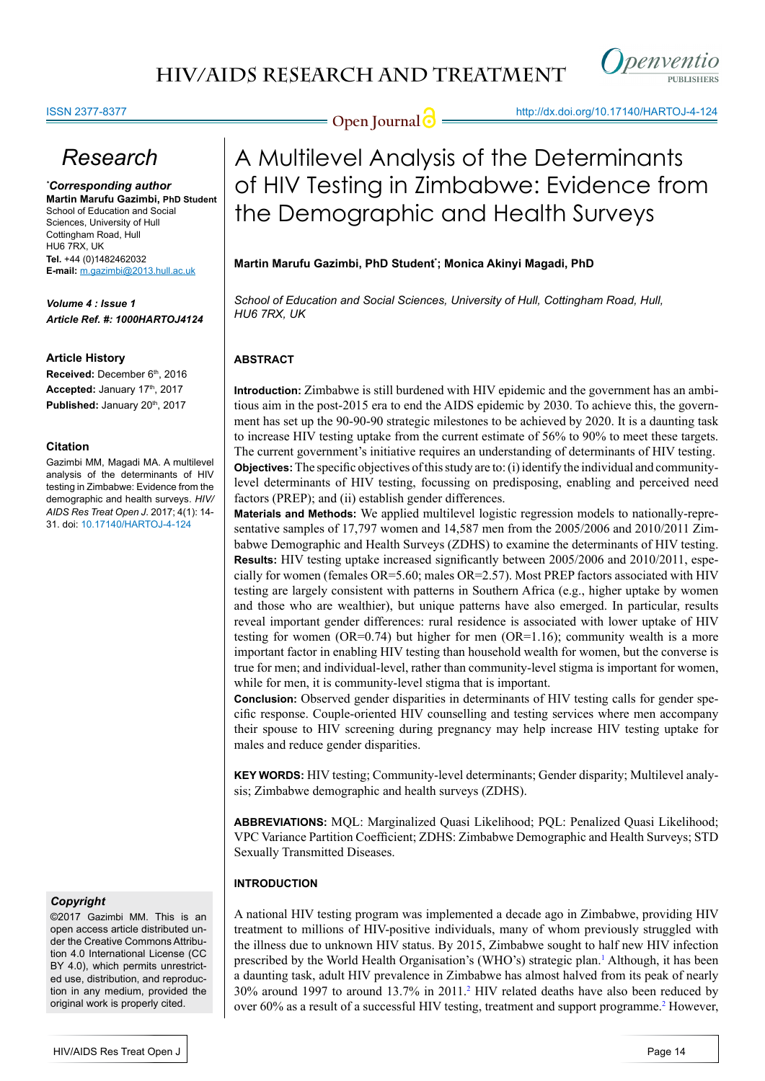

#### ISSN 2377-8377

# *Research*

*\* Corresponding author* **Martin Marufu Gazimbi, PhD Student** School of Education and Social Sciences, University of Hull Cottingham Road, Hull HU6 7RX, UK **Tel.** +44 (0)1482462032 **E-mail:** m.gazimbi@2013.hull.ac.uk

*Volume 4 : Issue 1 Article Ref. #: 1000HARTOJ4124*

#### **Article History**

Received: December 6<sup>th</sup>, 2016 Accepted: January 17th, 2017 Published: January 20<sup>th</sup>, 2017

#### **Citation**

Gazimbi MM, Magadi MA. A multilevel analysis of the determinants of HIV testing in Zimbabwe: Evidence from the demographic and health surveys. *HIV/ AIDS Res Treat Open J*. 2017; 4(1): 14- 31. doi: 10.17140/HARTOJ-4-124

### *Copyright*

©2017 Gazimbi MM. This is an open access article distributed under the Creative Commons Attribution 4.0 International License (CC BY 4.0), which permits unrestricted use, distribution, and reproduction in any medium, provided the original work is properly cited.

**Open Journal @** http://dx.doi.org/10.17140/HARTOJ-4-124

# A Multilevel Analysis of the Determinants of HIV Testing in Zimbabwe: Evidence from the Demographic and Health Surveys

### **Martin Marufu Gazimbi, PhD Student\* ; Monica Akinyi Magadi, PhD**

*School of Education and Social Sciences, University of Hull, Cottingham Road, Hull, HU6 7RX, UK*

### **ABSTRACT**

**Introduction:** Zimbabwe is still burdened with HIV epidemic and the government has an ambitious aim in the post-2015 era to end the AIDS epidemic by 2030. To achieve this, the government has set up the 90-90-90 strategic milestones to be achieved by 2020. It is a daunting task to increase HIV testing uptake from the current estimate of 56% to 90% to meet these targets. The current government's initiative requires an understanding of determinants of HIV testing. **Objectives:**The specific objectives of this study are to: (i) identify the individual and communitylevel determinants of HIV testing, focussing on predisposing, enabling and perceived need factors (PREP); and (ii) establish gender differences.

**Materials and Methods:** We applied multilevel logistic regression models to nationally-representative samples of 17,797 women and 14,587 men from the 2005/2006 and 2010/2011 Zimbabwe Demographic and Health Surveys (ZDHS) to examine the determinants of HIV testing. **Results:** HIV testing uptake increased significantly between 2005/2006 and 2010/2011, especially for women (females  $OR=5.60$ ; males  $OR=2.57$ ). Most PREP factors associated with HIV testing are largely consistent with patterns in Southern Africa (e.g., higher uptake by women and those who are wealthier), but unique patterns have also emerged. In particular, results reveal important gender differences: rural residence is associated with lower uptake of HIV testing for women  $(OR=0.74)$  but higher for men  $(OR=1.16)$ ; community wealth is a more important factor in enabling HIV testing than household wealth for women, but the converse is true for men; and individual-level, rather than community-level stigma is important for women, while for men, it is community-level stigma that is important.

**Conclusion:** Observed gender disparities in determinants of HIV testing calls for gender specific response. Couple-oriented HIV counselling and testing services where men accompany their spouse to HIV screening during pregnancy may help increase HIV testing uptake for males and reduce gender disparities.

**KEY WORDS:** HIV testing; Community-level determinants; Gender disparity; Multilevel analysis; Zimbabwe demographic and health surveys (ZDHS).

**ABBREVIATIONS:** MQL: Marginalized Quasi Likelihood; PQL: Penalized Quasi Likelihood; VPC Variance Partition Coefficient; ZDHS: Zimbabwe Demographic and Health Surveys; STD Sexually Transmitted Diseases.

### **INTRODUCTION**

A national HIV testing program was implemented a decade ago in Zimbabwe, providing HIV treatment to millions of HIV-positive individuals, many of whom previously struggled with the illness due to unknown HIV status. By 2015, Zimbabwe sought to half new HIV infection prescribed by the World Health Organisation's (WHO's) strategic plan.[1](#page-14-0) Although, it has been a daunting task, adult HIV prevalence in Zimbabwe has almost halved from its peak of nearly 30% around 1997 to around 13.7% in 2011[.2](#page-14-1) HIV related deaths have also been reduced by over 60% as a result of a successful HIV testing, treatment and support programme.<sup>2</sup> However,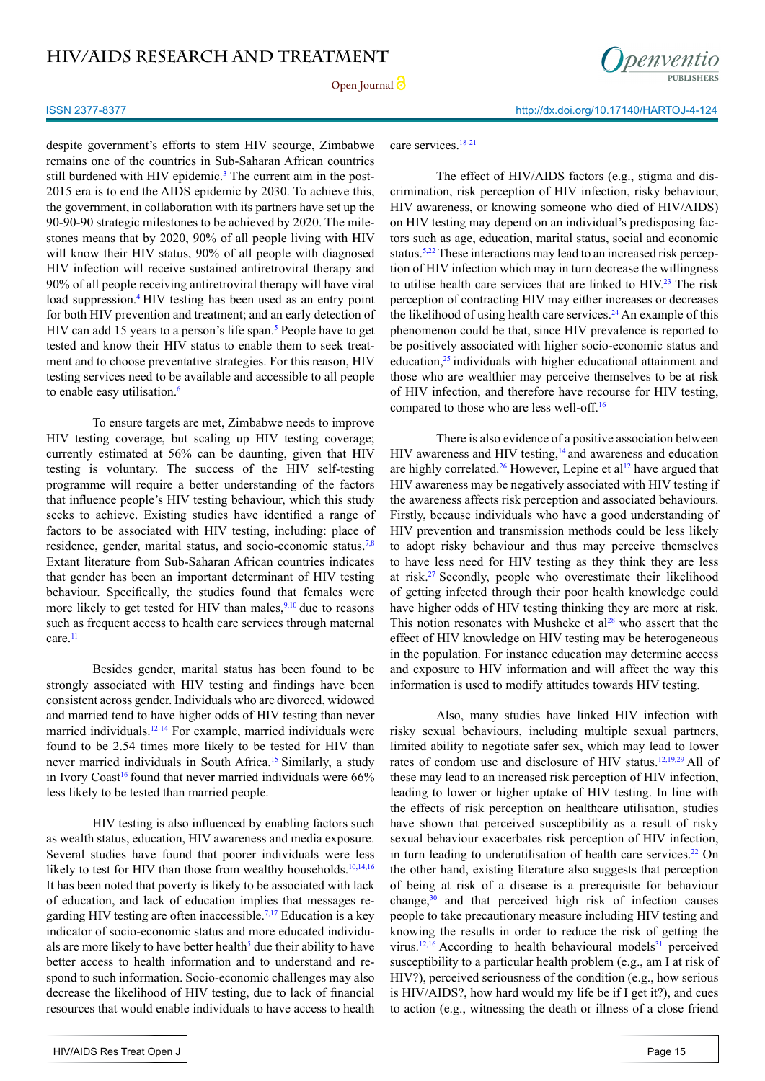

#### ISSN 2377-8377 http://dx.doi.org/10.17140/HARTOJ-4-124

despite government's efforts to stem HIV scourge, Zimbabwe remains one of the countries in Sub-Saharan African countries still burdened with HIV epidemic.<sup>[3](#page-14-2)</sup> The current aim in the post-2015 era is to end the AIDS epidemic by 2030. To achieve this, the government, in collaboration with its partners have set up the 90-90-90 strategic milestones to be achieved by 2020. The milestones means that by 2020, 90% of all people living with HIV will know their HIV status, 90% of all people with diagnosed HIV infection will receive sustained antiretroviral therapy and 90% of all people receiving antiretroviral therapy will have viral load suppression.<sup>4</sup> HIV testing has been used as an entry point for both HIV prevention and treatment; and an early detection of HIV can add 15 years to a person's life span.<sup>5</sup> People have to get tested and know their HIV status to enable them to seek treatment and to choose preventative strategies. For this reason, HIV testing services need to be available and accessible to all people to enable easy utilisation.<sup>[6](#page-14-5)</sup>

To ensure targets are met, Zimbabwe needs to improve HIV testing coverage, but scaling up HIV testing coverage; currently estimated at 56% can be daunting, given that HIV testing is voluntary. The success of the HIV self-testing programme will require a better understanding of the factors that influence people's HIV testing behaviour, which this study seeks to achieve. Existing studies have identified a range of factors to be associated with HIV testing, including: place of residence, gender, marital status, and socio-economic status[.7,8](#page-14-6)  Extant literature from Sub-Saharan African countries indicates that gender has been an important determinant of HIV testing behaviour. Specifically, the studies found that females were more likely to get tested for HIV than males,  $9,10$  due to reasons such as frequent access to health care services through maternal care.<sup>11</sup>

Besides gender, marital status has been found to be strongly associated with HIV testing and findings have been consistent across gender. Individuals who are divorced, widowed and married tend to have higher odds of HIV testing than never married individuals.<sup>12-14</sup> For example, married individuals were found to be 2.54 times more likely to be tested for HIV than never married individuals in South Africa.<sup>15</sup> Similarly, a study in Ivory Coast<sup>[16](#page-15-2)</sup> found that never married individuals were  $66\%$ less likely to be tested than married people.

HIV testing is also influenced by enabling factors such as wealth status, education, HIV awareness and media exposure. Several studies have found that poorer individuals were less likely to test for HIV than those from wealthy households.<sup>10,14,16</sup> It has been noted that poverty is likely to be associated with lack of education, and lack of education implies that messages regarding HIV testing are often inaccessible.<sup>7,17</sup> Education is a key indicator of socio-economic status and more educated individuals are more likely to have better health<sup>5</sup> due their ability to have better access to health information and to understand and respond to such information. Socio-economic challenges may also decrease the likelihood of HIV testing, due to lack of financial resources that would enable individuals to have access to health

#### care services.<sup>18-21</sup>

The effect of HIV/AIDS factors (e.g., stigma and discrimination, risk perception of HIV infection, risky behaviour, HIV awareness, or knowing someone who died of HIV/AIDS) on HIV testing may depend on an individual's predisposing factors such as age, education, marital status, social and economic status.<sup>[5](#page-14-4)[,22](#page-15-4)</sup> These interactions may lead to an increased risk perception of HIV infection which may in turn decrease the willingness to utilise health care services that are linked to HIV.<sup>23</sup> The risk perception of contracting HIV may either increases or decreases the likelihood of using health care services.<sup>[24](#page-15-6)</sup> An example of this phenomenon could be that, since HIV prevalence is reported to be positively associated with higher socio-economic status and education,<sup>25</sup> individuals with higher educational attainment and those who are wealthier may perceive themselves to be at risk of HIV infection, and therefore have recourse for HIV testing, compared to those who are less well-off.<sup>[16](#page-15-2)</sup>

There is also evidence of a positive association between HIV awareness and HIV testing,<sup>[14](#page-15-8)</sup> and awareness and education are highly correlated.<sup>[26](#page-15-9)</sup> However, Lepine et al<sup>[12](#page-15-0)</sup> have argued that HIV awareness may be negatively associated with HIV testing if the awareness affects risk perception and associated behaviours. Firstly, because individuals who have a good understanding of HIV prevention and transmission methods could be less likely to adopt risky behaviour and thus may perceive themselves to have less need for HIV testing as they think they are less at risk[.27](#page-15-10) Secondly, people who overestimate their likelihood of getting infected through their poor health knowledge could have higher odds of HIV testing thinking they are more at risk. This notion resonates with Musheke et  $al^{28}$  who assert that the effect of HIV knowledge on HIV testing may be heterogeneous in the population. For instance education may determine access and exposure to HIV information and will affect the way this information is used to modify attitudes towards HIV testing.

Also, many studies have linked HIV infection with risky sexual behaviours, including multiple sexual partners, limited ability to negotiate safer sex, which may lead to lower rates of condom use and disclosure of HIV status.<sup>12,[19](#page-15-12),[29](#page-15-13)</sup> All of these may lead to an increased risk perception of HIV infection, leading to lower or higher uptake of HIV testing. In line with the effects of risk perception on healthcare utilisation, studies have shown that perceived susceptibility as a result of risky sexual behaviour exacerbates risk perception of HIV infection, in turn leading to underutilisation of health care services. $22$  On the other hand, existing literature also suggests that perception of being at risk of a disease is a prerequisite for behaviour change,<sup>30</sup> and that perceived high risk of infection causes people to take precautionary measure including HIV testing and knowing the results in order to reduce the risk of getting the virus.<sup>12,16</sup> According to health behavioural models<sup>31</sup> perceived susceptibility to a particular health problem (e.g., am I at risk of HIV?), perceived seriousness of the condition (e.g., how serious is HIV/AIDS?, how hard would my life be if I get it?), and cues to action (e.g., witnessing the death or illness of a close friend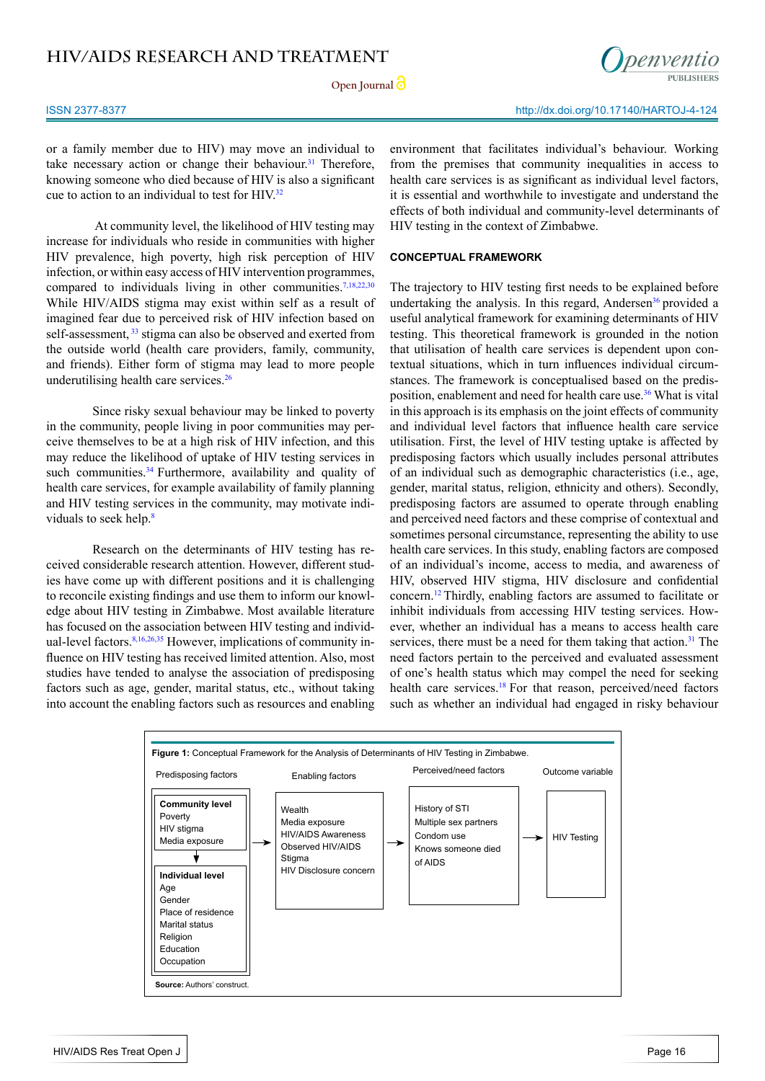**Open Journal**

renventio

or a family member due to HIV) may move an individual to take necessary action or change their behaviour.<sup>[31](#page-15-15)</sup> Therefore, knowing someone who died because of HIV is also a significant cue to action to an individual to test for  $HIV<sup>32</sup>$  $HIV<sup>32</sup>$  $HIV<sup>32</sup>$ 

 At community level, the likelihood of HIV testing may increase for individuals who reside in communities with higher HIV prevalence, high poverty, high risk perception of HIV infection, or within easy access of HIV intervention programmes, compared to individuals living in other communities.<sup>[7,18,22,30](#page-14-6)</sup> While HIV/AIDS stigma may exist within self as a result of imagined fear due to perceived risk of HIV infection based on self-assessment, <sup>[33](#page-15-17)</sup> stigma can also be observed and exerted from the outside world (health care providers, family, community, and friends). Either form of stigma may lead to more people underutilising health care services.[26](#page-15-9)

Since risky sexual behaviour may be linked to poverty in the community, people living in poor communities may perceive themselves to be at a high risk of HIV infection, and this may reduce the likelihood of uptake of HIV testing services in such communities.<sup>[34](#page-16-0)</sup> Furthermore, availability and quality of health care services, for example availability of family planning and HIV testing services in the community, may motivate individuals to seek help.[8](#page-14-10)

Research on the determinants of HIV testing has received considerable research attention. However, different studies have come up with different positions and it is challenging to reconcile existing findings and use them to inform our knowledge about HIV testing in Zimbabwe. Most available literature has focused on the association between HIV testing and individual-level factors.<sup>8,16,26,35</sup> However, implications of community influence on HIV testing has received limited attention. Also, most studies have tended to analyse the association of predisposing factors such as age, gender, marital status, etc., without taking into account the enabling factors such as resources and enabling environment that facilitates individual's behaviour. Working from the premises that community inequalities in access to health care services is as significant as individual level factors, it is essential and worthwhile to investigate and understand the effects of both individual and community-level determinants of HIV testing in the context of Zimbabwe.

#### **CONCEPTUAL FRAMEWORK**

The trajectory to HIV testing first needs to be explained before undertaking the analysis. In this regard, Andersen<sup>[36](#page-16-1)</sup> provided a useful analytical framework for examining determinants of HIV testing. This theoretical framework is grounded in the notion that utilisation of health care services is dependent upon contextual situations, which in turn influences individual circumstances. The framework is conceptualised based on the predisposition, enablement and need for health care use[.36](#page-16-1) What is vital in this approach is its emphasis on the joint effects of community and individual level factors that influence health care service utilisation. First, the level of HIV testing uptake is affected by predisposing factors which usually includes personal attributes of an individual such as demographic characteristics (i.e., age, gender, marital status, religion, ethnicity and others). Secondly, predisposing factors are assumed to operate through enabling and perceived need factors and these comprise of contextual and sometimes personal circumstance, representing the ability to use health care services. In this study, enabling factors are composed of an individual's income, access to media, and awareness of HIV, observed HIV stigma, HIV disclosure and confidential concern.[12](#page-15-0) Thirdly, enabling factors are assumed to facilitate or inhibit individuals from accessing HIV testing services. However, whether an individual has a means to access health care services, there must be a need for them taking that action  $31$  The need factors pertain to the perceived and evaluated assessment of one's health status which may compel the need for seeking health care services.<sup>18</sup> For that reason, perceived/need factors such as whether an individual had engaged in risky behaviour

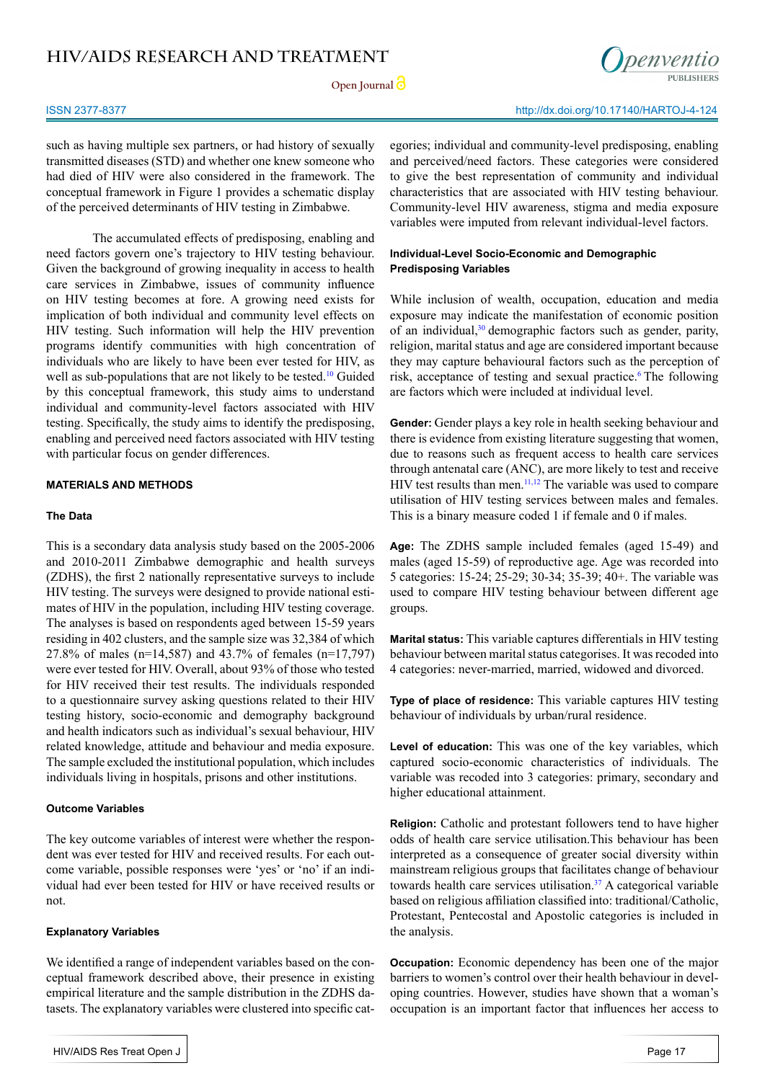Open **Journal** 



such as having multiple sex partners, or had history of sexually transmitted diseases (STD) and whether one knew someone who had died of HIV were also considered in the framework. The conceptual framework in Figure 1 provides a schematic display of the perceived determinants of HIV testing in Zimbabwe.

The accumulated effects of predisposing, enabling and need factors govern one's trajectory to HIV testing behaviour. Given the background of growing inequality in access to health care services in Zimbabwe, issues of community influence on HIV testing becomes at fore. A growing need exists for implication of both individual and community level effects on HIV testing. Such information will help the HIV prevention programs identify communities with high concentration of individuals who are likely to have been ever tested for HIV, as well as sub-populations that are not likely to be tested.<sup>[10](#page-14-9)</sup> Guided by this conceptual framework, this study aims to understand individual and community-level factors associated with HIV testing. Specifically, the study aims to identify the predisposing, enabling and perceived need factors associated with HIV testing with particular focus on gender differences.

### **MATERIALS AND METHODS**

#### **The Data**

This is a secondary data analysis study based on the 2005-2006 and 2010-2011 Zimbabwe demographic and health surveys (ZDHS), the first 2 nationally representative surveys to include HIV testing. The surveys were designed to provide national estimates of HIV in the population, including HIV testing coverage. The analyses is based on respondents aged between 15-59 years residing in 402 clusters, and the sample size was 32,384 of which 27.8% of males (n=14,587) and 43.7% of females (n=17,797) were ever tested for HIV. Overall, about 93% of those who tested for HIV received their test results. The individuals responded to a questionnaire survey asking questions related to their HIV testing history, socio-economic and demography background and health indicators such as individual's sexual behaviour, HIV related knowledge, attitude and behaviour and media exposure. The sample excluded the institutional population, which includes individuals living in hospitals, prisons and other institutions.

### **Outcome Variables**

The key outcome variables of interest were whether the respondent was ever tested for HIV and received results. For each outcome variable, possible responses were 'yes' or 'no' if an individual had ever been tested for HIV or have received results or not.

### **Explanatory Variables**

We identified a range of independent variables based on the conceptual framework described above, their presence in existing empirical literature and the sample distribution in the ZDHS datasets. The explanatory variables were clustered into specific categories; individual and community-level predisposing, enabling and perceived/need factors. These categories were considered to give the best representation of community and individual characteristics that are associated with HIV testing behaviour. Community-level HIV awareness, stigma and media exposure variables were imputed from relevant individual-level factors.

### **Individual-Level Socio-Economic and Demographic Predisposing Variables**

While inclusion of wealth, occupation, education and media exposure may indicate the manifestation of economic position of an individual,<sup>[30](#page-15-14)</sup> demographic factors such as gender, parity, religion, marital status and age are considered important because they may capture behavioural factors such as the perception of risk, acceptance of testing and sexual practice.<sup>[6](#page-14-5)</sup> The following are factors which were included at individual level.

**Gender:** Gender plays a key role in health seeking behaviour and there is evidence from existing literature suggesting that women, due to reasons such as frequent access to health care services through antenatal care (ANC), are more likely to test and receive HIV test results than men.<sup>11,12</sup> The variable was used to compare utilisation of HIV testing services between males and females. This is a binary measure coded 1 if female and 0 if males.

**Age:** The ZDHS sample included females (aged 15-49) and males (aged 15-59) of reproductive age. Age was recorded into 5 categories: 15-24; 25-29; 30-34; 35-39; 40+. The variable was used to compare HIV testing behaviour between different age groups.

**Marital status:** This variable captures differentials in HIV testing behaviour between marital status categorises. It was recoded into 4 categories: never-married, married, widowed and divorced.

**Type of place of residence:** This variable captures HIV testing behaviour of individuals by urban/rural residence.

**Level of education:** This was one of the key variables, which captured socio-economic characteristics of individuals. The variable was recoded into 3 categories: primary, secondary and higher educational attainment.

**Religion:** Catholic and protestant followers tend to have higher odds of health care service utilisation.This behaviour has been interpreted as a consequence of greater social diversity within mainstream religious groups that facilitates change of behaviour towards health care services utilisation.[37](#page-16-2) A categorical variable based on religious affiliation classified into: traditional/Catholic, Protestant, Pentecostal and Apostolic categories is included in the analysis.

**Occupation:** Economic dependency has been one of the major barriers to women's control over their health behaviour in developing countries. However, studies have shown that a woman's occupation is an important factor that influences her access to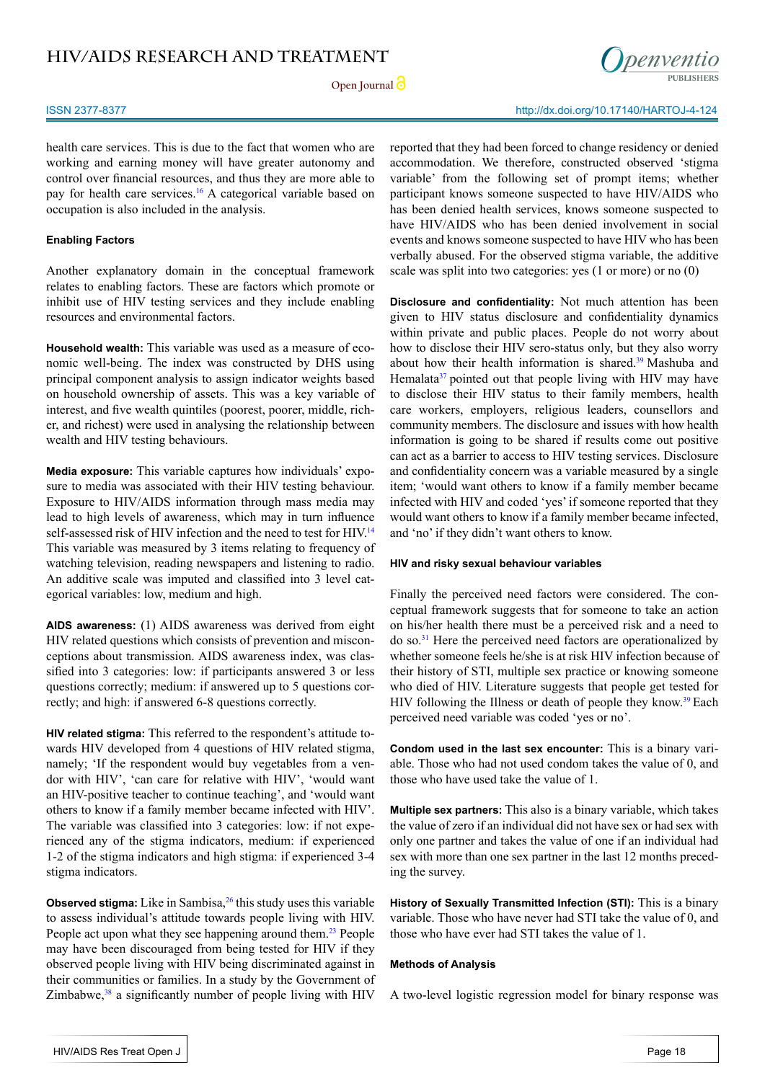**Open Journal**



ISSN 2377-8377 http://dx.doi.org/10.17140/HARTOJ-4-124

health care services. This is due to the fact that women who are working and earning money will have greater autonomy and control over financial resources, and thus they are more able to pay for health care services.<sup>[16](#page-15-2)</sup> A categorical variable based on occupation is also included in the analysis.

#### **Enabling Factors**

Another explanatory domain in the conceptual framework relates to enabling factors. These are factors which promote or inhibit use of HIV testing services and they include enabling resources and environmental factors.

**Household wealth:** This variable was used as a measure of economic well-being. The index was constructed by DHS using principal component analysis to assign indicator weights based on household ownership of assets. This was a key variable of interest, and five wealth quintiles (poorest, poorer, middle, richer, and richest) were used in analysing the relationship between wealth and HIV testing behaviours.

**Media exposure:** This variable captures how individuals' exposure to media was associated with their HIV testing behaviour. Exposure to HIV/AIDS information through mass media may lead to high levels of awareness, which may in turn influence self-assessed risk of HIV infection and the need to test for HIV.<sup>[14](#page-15-8)</sup> This variable was measured by 3 items relating to frequency of watching television, reading newspapers and listening to radio. An additive scale was imputed and classified into 3 level categorical variables: low, medium and high.

**AIDS awareness:** (1) AIDS awareness was derived from eight HIV related questions which consists of prevention and misconceptions about transmission. AIDS awareness index, was classified into 3 categories: low: if participants answered 3 or less questions correctly; medium: if answered up to 5 questions correctly; and high: if answered 6-8 questions correctly.

**HIV related stigma:** This referred to the respondent's attitude towards HIV developed from 4 questions of HIV related stigma, namely; 'If the respondent would buy vegetables from a vendor with HIV', 'can care for relative with HIV', 'would want an HIV-positive teacher to continue teaching', and 'would want others to know if a family member became infected with HIV'. The variable was classified into 3 categories: low: if not experienced any of the stigma indicators, medium: if experienced 1-2 of the stigma indicators and high stigma: if experienced 3-4 stigma indicators.

**Observed stigma:** Like in Sambisa,<sup>26</sup> this study uses this variable to assess individual's attitude towards people living with HIV. People act upon what they see happening around them.<sup>[23](#page-15-5)</sup> People may have been discouraged from being tested for HIV if they observed people living with HIV being discriminated against in their communities or families. In a study by the Government of Zimbabwe, $38$  a significantly number of people living with HIV

reported that they had been forced to change residency or denied accommodation. We therefore, constructed observed 'stigma variable' from the following set of prompt items; whether participant knows someone suspected to have HIV/AIDS who has been denied health services, knows someone suspected to have HIV/AIDS who has been denied involvement in social events and knows someone suspected to have HIV who has been verbally abused. For the observed stigma variable, the additive scale was split into two categories: yes (1 or more) or no (0)

**Disclosure and confidentiality:** Not much attention has been given to HIV status disclosure and confidentiality dynamics within private and public places. People do not worry about how to disclose their HIV sero-status only, but they also worry about how their health information is shared.<sup>39</sup> Mashuba and Hemalata<sup>[37](#page-16-2)</sup> pointed out that people living with HIV may have to disclose their HIV status to their family members, health care workers, employers, religious leaders, counsellors and community members. The disclosure and issues with how health information is going to be shared if results come out positive can act as a barrier to access to HIV testing services. Disclosure and confidentiality concern was a variable measured by a single item; 'would want others to know if a family member became infected with HIV and coded 'yes' if someone reported that they would want others to know if a family member became infected, and 'no' if they didn't want others to know.

#### **HIV and risky sexual behaviour variables**

Finally the perceived need factors were considered. The conceptual framework suggests that for someone to take an action on his/her health there must be a perceived risk and a need to do so[.31](#page-15-15) Here the perceived need factors are operationalized by whether someone feels he/she is at risk HIV infection because of their history of STI, multiple sex practice or knowing someone who died of HIV. Literature suggests that people get tested for HIV following the Illness or death of people they know.<sup>[39](#page-16-4)</sup> Each perceived need variable was coded 'yes or no'.

**Condom used in the last sex encounter:** This is a binary variable. Those who had not used condom takes the value of 0, and those who have used take the value of 1.

**Multiple sex partners:** This also is a binary variable, which takes the value of zero if an individual did not have sex or had sex with only one partner and takes the value of one if an individual had sex with more than one sex partner in the last 12 months preceding the survey.

**History of Sexually Transmitted Infection (STI):** This is a binary variable. Those who have never had STI take the value of 0, and those who have ever had STI takes the value of 1.

#### **Methods of Analysis**

A two-level logistic regression model for binary response was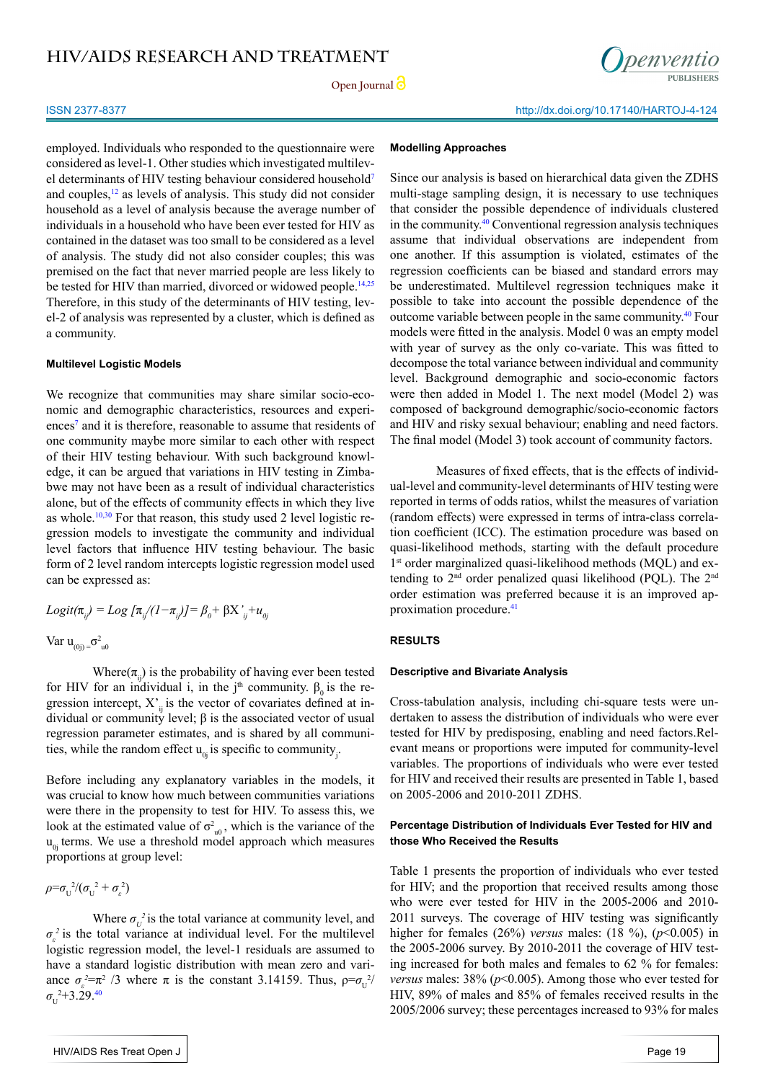

employed. Individuals who responded to the questionnaire were considered as level-1. Other studies which investigated multilevel determinants of HIV testing behaviour considered household[7](#page-14-6) and couples[,12](#page-15-0) as levels of analysis. This study did not consider household as a level of analysis because the average number of individuals in a household who have been ever tested for HIV as contained in the dataset was too small to be considered as a level of analysis. The study did not also consider couples; this was premised on the fact that never married people are less likely to be tested for HIV than married, divorced or widowed people.<sup>[14,25](#page-15-8)</sup> Therefore, in this study of the determinants of HIV testing, level-2 of analysis was represented by a cluster, which is defined as a community.

#### **Multilevel Logistic Models**

We recognize that communities may share similar socio-economic and demographic characteristics, resources and experiences<sup>7</sup> and it is therefore, reasonable to assume that residents of one community maybe more similar to each other with respect of their HIV testing behaviour. With such background knowledge, it can be argued that variations in HIV testing in Zimbabwe may not have been as a result of individual characteristics alone, but of the effects of community effects in which they live as whole.<sup>10[,30](#page-15-14)</sup> For that reason, this study used 2 level logistic regression models to investigate the community and individual level factors that influence HIV testing behaviour. The basic form of 2 level random intercepts logistic regression model used can be expressed as:

$$
Logit(\pi_{ij}) = Log \left[\pi_{ij}/(1-\pi_{ij})\right] = \beta_0 + \beta X'_{ij} + u_{0j}
$$
  
Var  $u_{(0j)} = \sigma_{u0}^2$ 

Where( $\pi$ <sub>ii</sub>) is the probability of having ever been tested for HIV for an individual i, in the j<sup>th</sup> community.  $β_0$  is the regression intercept,  $X^{\prime}$  is the vector of covariates defined at individual or community level; β is the associated vector of usual regression parameter estimates, and is shared by all communities, while the random effect  $u_{0j}$  is specific to community<sub>j</sub>.

Before including any explanatory variables in the models, it was crucial to know how much between communities variations were there in the propensity to test for HIV. To assess this, we look at the estimated value of  $\sigma_{u0}^2$ , which is the variance of the  $u_{\alpha}$  terms. We use a threshold model approach which measures proportions at group level:

$$
\rho = \sigma_U^2/(\sigma_U^2 + \sigma_\varepsilon^2)
$$

Where  $\sigma_{U}^{2}$  is the total variance at community level, and  $\sigma_{\varepsilon}^2$  is the total variance at individual level. For the multilevel logistic regression model, the level-1 residuals are assumed to have a standard logistic distribution with mean zero and variance  $\sigma_{\varepsilon}^2 = \pi^2 / 3$  where  $\pi$  is the constant 3.14159. Thus,  $\rho = \sigma_U^2/3$  $\sigma_{\rm U}^{2+3.29.40}$  $\sigma_{\rm U}^{2+3.29.40}$  $\sigma_{\rm U}^{2+3.29.40}$ 

#### **Modelling Approaches**

Since our analysis is based on hierarchical data given the ZDHS multi-stage sampling design, it is necessary to use techniques that consider the possible dependence of individuals clustered in the community[.40](#page-16-5) Conventional regression analysis techniques assume that individual observations are independent from one another. If this assumption is violated, estimates of the regression coefficients can be biased and standard errors may be underestimated. Multilevel regression techniques make it possible to take into account the possible dependence of the outcome variable between people in the same community.[40](#page-16-5) Four models were fitted in the analysis. Model 0 was an empty model with year of survey as the only co-variate. This was fitted to decompose the total variance between individual and community level. Background demographic and socio-economic factors were then added in Model 1. The next model (Model 2) was composed of background demographic/socio-economic factors and HIV and risky sexual behaviour; enabling and need factors. The final model (Model 3) took account of community factors.

Measures of fixed effects, that is the effects of individual-level and community-level determinants of HIV testing were reported in terms of odds ratios, whilst the measures of variation (random effects) were expressed in terms of intra-class correlation coefficient (ICC). The estimation procedure was based on quasi-likelihood methods, starting with the default procedure 1<sup>st</sup> order marginalized quasi-likelihood methods (MQL) and extending to  $2<sup>nd</sup>$  order penalized quasi likelihood (PQL). The  $2<sup>nd</sup>$ order estimation was preferred because it is an improved ap-proximation procedure.<sup>[41](#page-16-6)</sup>

#### **RESULTS**

#### **Descriptive and Bivariate Analysis**

Cross-tabulation analysis, including chi-square tests were undertaken to assess the distribution of individuals who were ever tested for HIV by predisposing, enabling and need factors.Relevant means or proportions were imputed for community-level variables. The proportions of individuals who were ever tested for HIV and received their results are presented in Table 1, based on 2005-2006 and 2010-2011 ZDHS.

#### **Percentage Distribution of Individuals Ever Tested for HIV and those Who Received the Results**

Table 1 presents the proportion of individuals who ever tested for HIV; and the proportion that received results among those who were ever tested for HIV in the 2005-2006 and 2010- 2011 surveys. The coverage of HIV testing was significantly higher for females (26%) *versus* males: (18 %), (*p*<0.005) in the 2005-2006 survey. By 2010-2011 the coverage of HIV testing increased for both males and females to 62 % for females: *versus* males: 38% (*p*<0.005). Among those who ever tested for HIV, 89% of males and 85% of females received results in the 2005/2006 survey; these percentages increased to 93% for males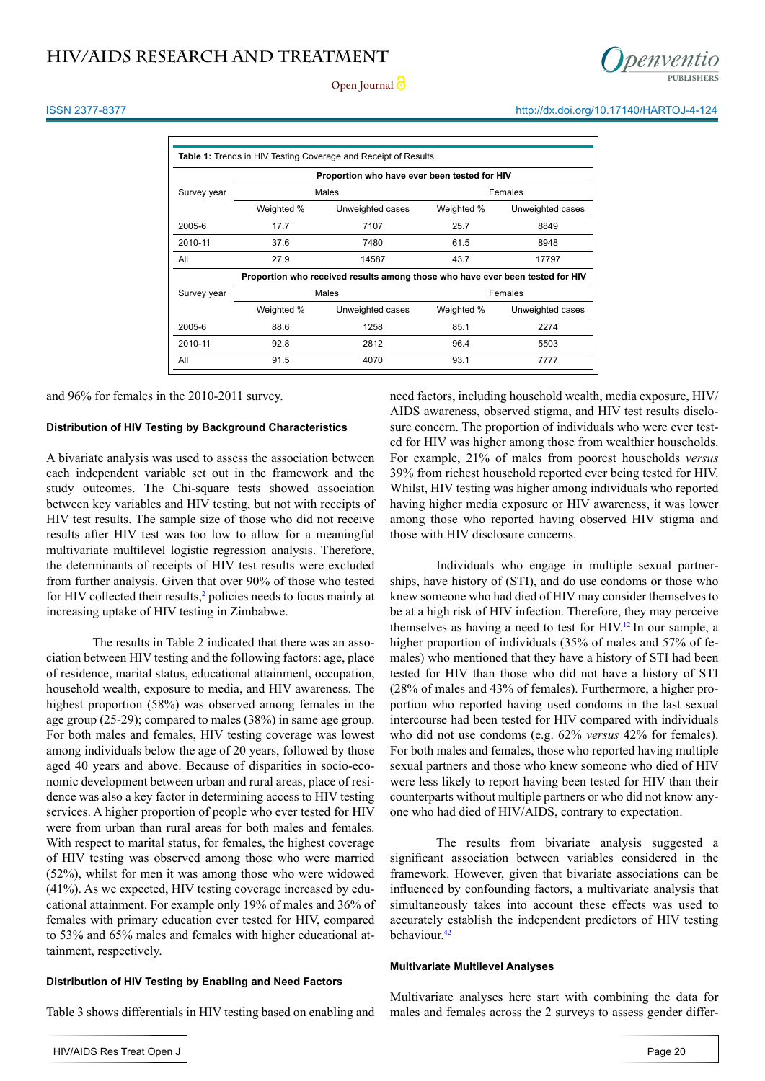#### ISSN 2377-8377 http://dx.doi.org/10.17140/HARTOJ-4-124

| <b>Table 1:</b> Trends in HIV Testing Coverage and Receipt of Results.        |            |                  |            |                  |  |  |
|-------------------------------------------------------------------------------|------------|------------------|------------|------------------|--|--|
| Proportion who have ever been tested for HIV                                  |            |                  |            |                  |  |  |
| Survey year                                                                   |            | Males            | Females    |                  |  |  |
|                                                                               | Weighted % | Unweighted cases | Weighted % | Unweighted cases |  |  |
| 2005-6                                                                        | 17.7       | 7107             | 25.7       | 8849             |  |  |
| 2010-11                                                                       | 37.6       | 7480             | 61.5       | 8948             |  |  |
| All                                                                           | 27.9       | 14587            | 43.7       | 17797            |  |  |
| Proportion who received results among those who have ever been tested for HIV |            |                  |            |                  |  |  |
| Survey year                                                                   |            | Males            | Females    |                  |  |  |
|                                                                               | Weighted % | Unweighted cases | Weighted % | Unweighted cases |  |  |
| 2005-6                                                                        | 88.6       | 1258             | 85.1       | 2274             |  |  |
| 2010-11                                                                       | 92.8       | 2812             | 96.4       | 5503             |  |  |
| All                                                                           | 91.5       | 4070             | 93.1       | 7777             |  |  |

and 96% for females in the 2010-2011 survey.

### **Distribution of HIV Testing by Background Characteristics**

A bivariate analysis was used to assess the association between each independent variable set out in the framework and the study outcomes. The Chi-square tests showed association between key variables and HIV testing, but not with receipts of HIV test results. The sample size of those who did not receive results after HIV test was too low to allow for a meaningful multivariate multilevel logistic regression analysis. Therefore, the determinants of receipts of HIV test results were excluded from further analysis. Given that over 90% of those who tested for HIV collected their results,<sup>2</sup> policies needs to focus mainly at increasing uptake of HIV testing in Zimbabwe.

The results in Table 2 indicated that there was an association between HIV testing and the following factors: age, place of residence, marital status, educational attainment, occupation, household wealth, exposure to media, and HIV awareness. The highest proportion (58%) was observed among females in the age group (25-29); compared to males (38%) in same age group. For both males and females, HIV testing coverage was lowest among individuals below the age of 20 years, followed by those aged 40 years and above. Because of disparities in socio-economic development between urban and rural areas, place of residence was also a key factor in determining access to HIV testing services. A higher proportion of people who ever tested for HIV were from urban than rural areas for both males and females. With respect to marital status, for females, the highest coverage of HIV testing was observed among those who were married (52%), whilst for men it was among those who were widowed (41%). As we expected, HIV testing coverage increased by educational attainment. For example only 19% of males and 36% of females with primary education ever tested for HIV, compared to 53% and 65% males and females with higher educational attainment, respectively.

#### **Distribution of HIV Testing by Enabling and Need Factors**

Table 3 shows differentials in HIV testing based on enabling and

need factors, including household wealth, media exposure, HIV/ AIDS awareness, observed stigma, and HIV test results disclosure concern. The proportion of individuals who were ever tested for HIV was higher among those from wealthier households. For example, 21% of males from poorest households *versus* 39% from richest household reported ever being tested for HIV. Whilst, HIV testing was higher among individuals who reported having higher media exposure or HIV awareness, it was lower among those who reported having observed HIV stigma and those with HIV disclosure concerns.

Individuals who engage in multiple sexual partnerships, have history of (STI), and do use condoms or those who knew someone who had died of HIV may consider themselves to be at a high risk of HIV infection. Therefore, they may perceive themselves as having a need to test for HIV[.12](#page-15-0) In our sample, a higher proportion of individuals (35% of males and 57% of females) who mentioned that they have a history of STI had been tested for HIV than those who did not have a history of STI (28% of males and 43% of females). Furthermore, a higher proportion who reported having used condoms in the last sexual intercourse had been tested for HIV compared with individuals who did not use condoms (e.g. 62% *versus* 42% for females). For both males and females, those who reported having multiple sexual partners and those who knew someone who died of HIV were less likely to report having been tested for HIV than their counterparts without multiple partners or who did not know anyone who had died of HIV/AIDS, contrary to expectation.

The results from bivariate analysis suggested a significant association between variables considered in the framework. However, given that bivariate associations can be influenced by confounding factors, a multivariate analysis that simultaneously takes into account these effects was used to accurately establish the independent predictors of HIV testing behaviour.<sup>[42](#page-16-7)</sup>

#### **Multivariate Multilevel Analyses**

Multivariate analyses here start with combining the data for males and females across the 2 surveys to assess gender differ-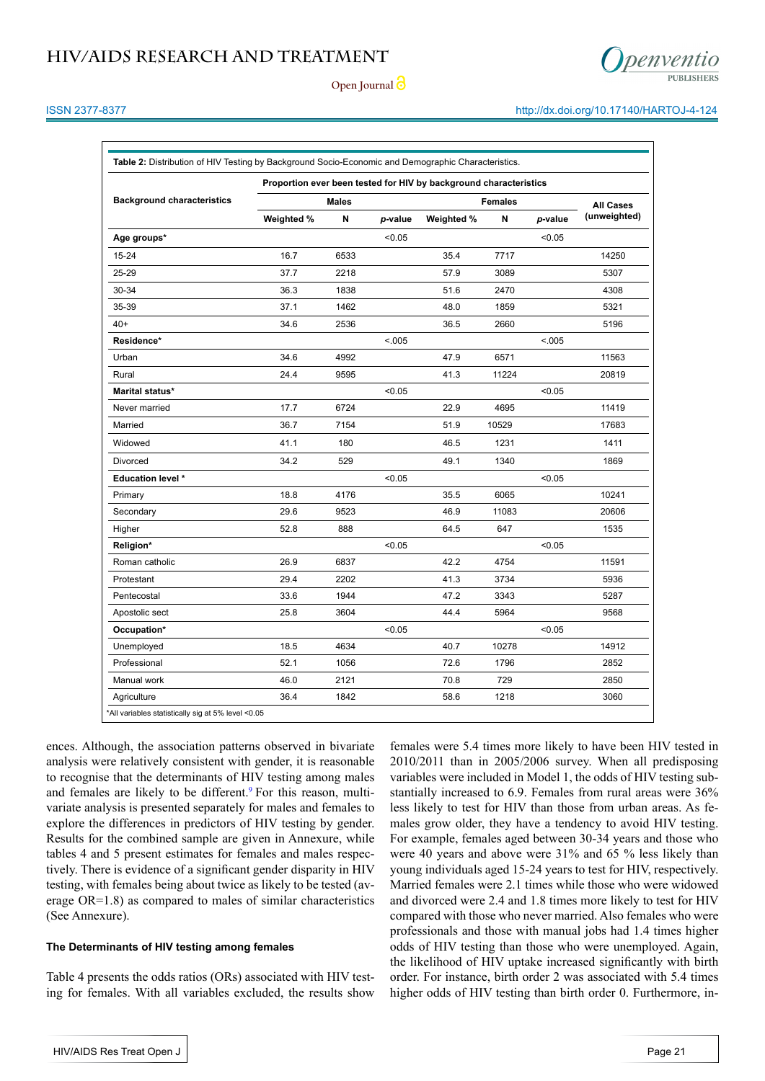



#### ISSN 2377-8377 http://dx.doi.org/10.17140/HARTOJ-4-124

| Table 2: Distribution of HIV Testing by Background Socio-Economic and Demographic Characteristics. |                                                                   |      |         |            |                                |         |                                  |
|----------------------------------------------------------------------------------------------------|-------------------------------------------------------------------|------|---------|------------|--------------------------------|---------|----------------------------------|
|                                                                                                    | Proportion ever been tested for HIV by background characteristics |      |         |            |                                |         |                                  |
| <b>Background characteristics</b>                                                                  | <b>Males</b><br>Weighted %<br>N                                   |      | p-value | Weighted % | <b>Females</b><br>N<br>p-value |         | <b>All Cases</b><br>(unweighted) |
| Age groups*                                                                                        |                                                                   |      | < 0.05  |            |                                | < 0.05  |                                  |
| 15-24                                                                                              | 16.7                                                              | 6533 |         | 35.4       | 7717                           |         | 14250                            |
| 25-29                                                                                              | 37.7                                                              | 2218 |         | 57.9       | 3089                           |         | 5307                             |
| 30-34                                                                                              | 36.3                                                              | 1838 |         | 51.6       | 2470                           |         | 4308                             |
| 35-39                                                                                              | 37.1                                                              | 1462 |         | 48.0       | 1859                           |         | 5321                             |
| $40+$                                                                                              | 34.6                                                              | 2536 |         | 36.5       | 2660                           |         | 5196                             |
| Residence*                                                                                         |                                                                   |      | < .005  |            |                                | < 0.005 |                                  |
| Urban                                                                                              | 34.6                                                              | 4992 |         | 47.9       | 6571                           |         | 11563                            |
| Rural                                                                                              | 24.4                                                              | 9595 |         | 41.3       | 11224                          |         | 20819                            |
| Marital status*                                                                                    |                                                                   |      | < 0.05  |            |                                | < 0.05  |                                  |
| Never married                                                                                      | 17.7                                                              | 6724 |         | 22.9       | 4695                           |         | 11419                            |
| Married                                                                                            | 36.7                                                              | 7154 |         | 51.9       | 10529                          |         | 17683                            |
| Widowed                                                                                            | 41.1                                                              | 180  |         | 46.5       | 1231                           |         | 1411                             |
| Divorced                                                                                           | 34.2                                                              | 529  |         | 49.1       | 1340                           |         | 1869                             |
| <b>Education level *</b>                                                                           |                                                                   |      | < 0.05  |            |                                | < 0.05  |                                  |
| Primary                                                                                            | 18.8                                                              | 4176 |         | 35.5       | 6065                           |         | 10241                            |
| Secondary                                                                                          | 29.6                                                              | 9523 |         | 46.9       | 11083                          |         | 20606                            |
| Higher                                                                                             | 52.8                                                              | 888  |         | 64.5       | 647                            |         | 1535                             |
| Religion*                                                                                          |                                                                   |      | < 0.05  |            |                                | < 0.05  |                                  |
| Roman catholic                                                                                     | 26.9                                                              | 6837 |         | 42.2       | 4754                           |         | 11591                            |
| Protestant                                                                                         | 29.4                                                              | 2202 |         | 41.3       | 3734                           |         | 5936                             |
| Pentecostal                                                                                        | 33.6                                                              | 1944 |         | 47.2       | 3343                           |         | 5287                             |
| Apostolic sect                                                                                     | 25.8                                                              | 3604 |         | 44.4       | 5964                           |         | 9568                             |
| Occupation*                                                                                        |                                                                   |      | < 0.05  |            |                                | < 0.05  |                                  |
| Unemployed                                                                                         | 18.5                                                              | 4634 |         | 40.7       | 10278                          |         | 14912                            |
| Professional                                                                                       | 52.1                                                              | 1056 |         | 72.6       | 1796                           |         | 2852                             |
| Manual work                                                                                        | 46.0                                                              | 2121 |         | 70.8       | 729                            |         | 2850                             |
| Agriculture                                                                                        | 36.4                                                              | 1842 |         | 58.6       | 1218                           |         | 3060                             |

ences. Although, the association patterns observed in bivariate analysis were relatively consistent with gender, it is reasonable to recognise that the determinants of HIV testing among males and females are likely to be different.<sup>[9](#page-14-7)</sup> For this reason, multivariate analysis is presented separately for males and females to explore the differences in predictors of HIV testing by gender. Results for the combined sample are given in Annexure, while tables 4 and 5 present estimates for females and males respectively. There is evidence of a significant gender disparity in HIV testing, with females being about twice as likely to be tested (average OR=1.8) as compared to males of similar characteristics (See Annexure).

#### **The Determinants of HIV testing among females**

Table 4 presents the odds ratios (ORs) associated with HIV testing for females. With all variables excluded, the results show

females were 5.4 times more likely to have been HIV tested in 2010/2011 than in 2005/2006 survey. When all predisposing variables were included in Model 1, the odds of HIV testing substantially increased to 6.9. Females from rural areas were 36% less likely to test for HIV than those from urban areas. As females grow older, they have a tendency to avoid HIV testing. For example, females aged between 30-34 years and those who were 40 years and above were 31% and 65 % less likely than young individuals aged 15-24 years to test for HIV, respectively. Married females were 2.1 times while those who were widowed and divorced were 2.4 and 1.8 times more likely to test for HIV compared with those who never married. Also females who were professionals and those with manual jobs had 1.4 times higher odds of HIV testing than those who were unemployed. Again, the likelihood of HIV uptake increased significantly with birth order. For instance, birth order 2 was associated with 5.4 times higher odds of HIV testing than birth order 0. Furthermore, in-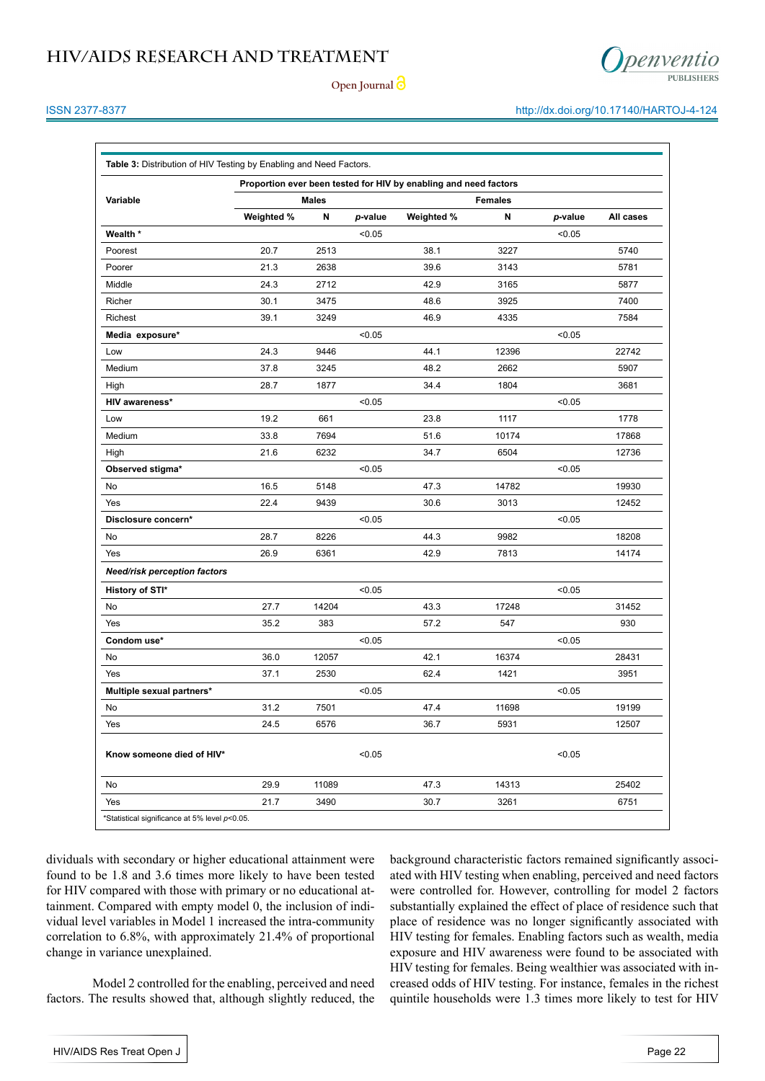

**Open Journal**

#### ISSN 2377-8377 http://dx.doi.org/10.17140/HARTOJ-4-124

| Variable                            | Proportion ever been tested for HIV by enabling and need factors<br>Males |       |         |            |       | <b>Females</b> |           |  |
|-------------------------------------|---------------------------------------------------------------------------|-------|---------|------------|-------|----------------|-----------|--|
|                                     | Weighted %                                                                | Ν     | p-value | Weighted % | N     | p-value        | All cases |  |
| Wealth *                            |                                                                           |       | < 0.05  |            |       | < 0.05         |           |  |
| Poorest                             | 20.7                                                                      | 2513  |         | 38.1       | 3227  |                | 5740      |  |
| Poorer                              | 21.3                                                                      | 2638  |         | 39.6       | 3143  |                | 5781      |  |
| Middle                              | 24.3                                                                      | 2712  |         | 42.9       | 3165  |                | 5877      |  |
| Richer                              | 30.1                                                                      | 3475  |         | 48.6       | 3925  |                | 7400      |  |
| Richest                             | 39.1                                                                      | 3249  |         | 46.9       | 4335  |                | 7584      |  |
| Media exposure*                     |                                                                           |       | < 0.05  |            |       | < 0.05         |           |  |
| Low                                 | 24.3                                                                      | 9446  |         | 44.1       | 12396 |                | 22742     |  |
| Medium                              | 37.8                                                                      | 3245  |         | 48.2       | 2662  |                | 5907      |  |
| High                                | 28.7                                                                      | 1877  |         | 34.4       | 1804  |                | 3681      |  |
| HIV awareness*                      |                                                                           |       | < 0.05  |            |       | < 0.05         |           |  |
| Low                                 | 19.2                                                                      | 661   |         | 23.8       | 1117  |                | 1778      |  |
| Medium                              | 33.8                                                                      | 7694  |         | 51.6       | 10174 |                | 17868     |  |
| High                                | 21.6                                                                      | 6232  |         | 34.7       | 6504  |                | 12736     |  |
| Observed stigma*                    |                                                                           |       | < 0.05  |            |       | < 0.05         |           |  |
| No                                  | 16.5                                                                      | 5148  |         | 47.3       | 14782 |                | 19930     |  |
| Yes                                 | 22.4                                                                      | 9439  |         | 30.6       | 3013  |                | 12452     |  |
| Disclosure concern*                 |                                                                           |       | < 0.05  |            |       | < 0.05         |           |  |
| No                                  | 28.7                                                                      | 8226  |         | 44.3       | 9982  |                | 18208     |  |
| Yes                                 | 26.9                                                                      | 6361  |         | 42.9       | 7813  |                | 14174     |  |
| <b>Need/risk perception factors</b> |                                                                           |       |         |            |       |                |           |  |
| History of STI*                     |                                                                           |       | < 0.05  |            |       | < 0.05         |           |  |
| No                                  | 27.7                                                                      | 14204 |         | 43.3       | 17248 |                | 31452     |  |
| Yes                                 | 35.2                                                                      | 383   |         | 57.2       | 547   |                | 930       |  |
| Condom use*                         |                                                                           |       | < 0.05  |            |       | < 0.05         |           |  |
| No                                  | 36.0                                                                      | 12057 |         | 42.1       | 16374 |                | 28431     |  |
| Yes                                 | 37.1                                                                      | 2530  |         | 62.4       | 1421  |                | 3951      |  |
| Multiple sexual partners*           |                                                                           |       | < 0.05  |            |       | < 0.05         |           |  |
| No                                  | 31.2                                                                      | 7501  |         | 47.4       | 11698 |                | 19199     |  |
| Yes                                 | 24.5                                                                      | 6576  |         | 36.7       | 5931  |                | 12507     |  |
| Know someone died of HIV*           |                                                                           |       | < 0.05  |            |       | < 0.05         |           |  |
| No                                  | 29.9                                                                      | 11089 |         | 47.3       | 14313 |                | 25402     |  |
| Yes                                 | 21.7                                                                      | 3490  |         | 30.7       | 3261  |                | 6751      |  |

dividuals with secondary or higher educational attainment were found to be 1.8 and 3.6 times more likely to have been tested for HIV compared with those with primary or no educational attainment. Compared with empty model 0, the inclusion of individual level variables in Model 1 increased the intra-community correlation to 6.8%, with approximately 21.4% of proportional change in variance unexplained.

Model 2 controlled for the enabling, perceived and need factors. The results showed that, although slightly reduced, the background characteristic factors remained significantly associated with HIV testing when enabling, perceived and need factors were controlled for. However, controlling for model 2 factors substantially explained the effect of place of residence such that place of residence was no longer significantly associated with HIV testing for females. Enabling factors such as wealth, media exposure and HIV awareness were found to be associated with HIV testing for females. Being wealthier was associated with increased odds of HIV testing. For instance, females in the richest quintile households were 1.3 times more likely to test for HIV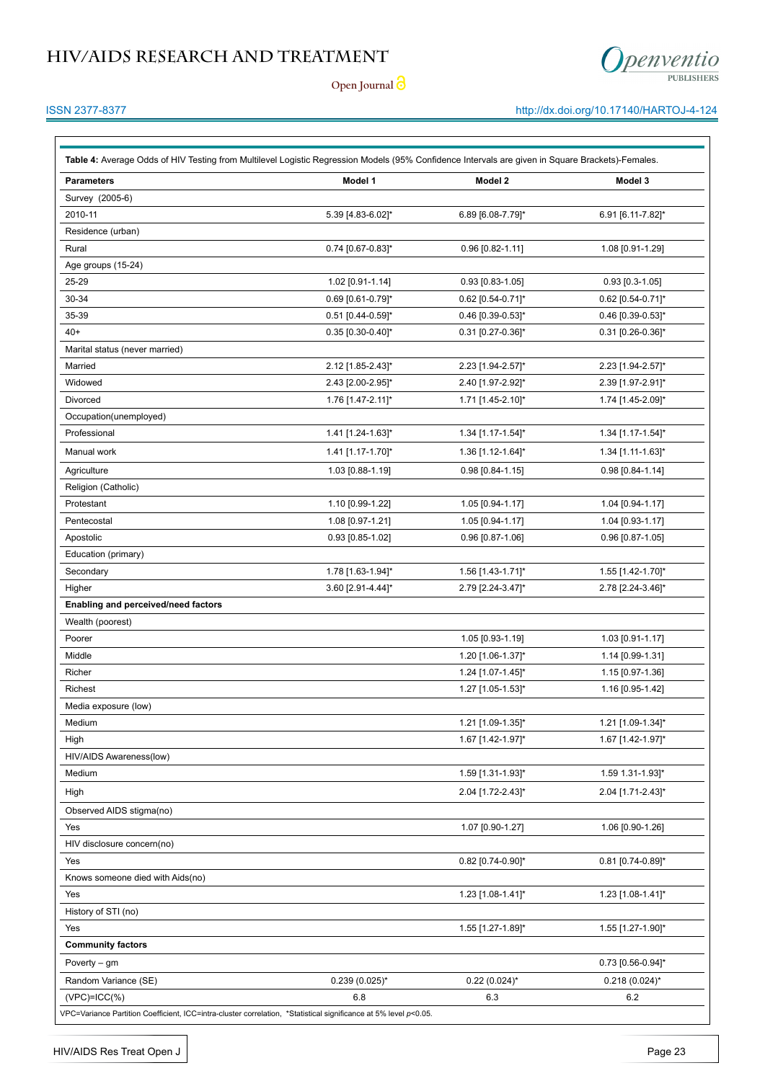

**Open Journal**

### ISSN 2377-8377 http://dx.doi.org/10.17140/HARTOJ-4-124

| <b>Parameters</b>                   | Model 1            | Model 2            | Model 3           |
|-------------------------------------|--------------------|--------------------|-------------------|
| Survey (2005-6)                     |                    |                    |                   |
| 2010-11                             | 5.39 [4.83-6.02]*  | 6.89 [6.08-7.79]*  | 6.91 [6.11-7.82]* |
| Residence (urban)                   |                    |                    |                   |
| Rural                               | 0.74 [0.67-0.83]*  | 0.96 [0.82-1.11]   | 1.08 [0.91-1.29]  |
| Age groups (15-24)                  |                    |                    |                   |
| 25-29                               | 1.02 [0.91-1.14]   | $0.93$ [0.83-1.05] | $0.93$ [0.3-1.05] |
| 30-34                               | 0.69 [0.61-0.79]*  | 0.62 [0.54-0.71]*  | 0.62 [0.54-0.71]* |
| 35-39                               | 0.51 [0.44-0.59]*  | 0.46 [0.39-0.53]*  | 0.46 [0.39-0.53]* |
| $40+$                               | 0.35 [0.30-0.40]*  | 0.31 [0.27-0.36]*  | 0.31 [0.26-0.36]* |
| Marital status (never married)      |                    |                    |                   |
| Married                             | 2.12 [1.85-2.43]*  | 2.23 [1.94-2.57]*  | 2.23 [1.94-2.57]* |
| Widowed                             | 2.43 [2.00-2.95]*  | 2.40 [1.97-2.92]*  | 2.39 [1.97-2.91]* |
| <b>Divorced</b>                     | 1.76 [1.47-2.11]*  | 1.71 [1.45-2.10]*  | 1.74 [1.45-2.09]* |
| Occupation(unemployed)              |                    |                    |                   |
| Professional                        | 1.41 [1.24-1.63]*  | 1.34 [1.17-1.54]*  | 1.34 [1.17-1.54]* |
| Manual work                         | 1.41 [1.17-1.70]*  | 1.36 [1.12-1.64]*  | 1.34 [1.11-1.63]* |
| Agriculture                         | 1.03 [0.88-1.19]   | 0.98 [0.84-1.15]   | 0.98 [0.84-1.14]  |
| Religion (Catholic)                 |                    |                    |                   |
| Protestant                          | 1.10 [0.99-1.22]   | 1.05 [0.94-1.17]   | 1.04 [0.94-1.17]  |
| Pentecostal                         | 1.08 [0.97-1.21]   | 1.05 [0.94-1.17]   | 1.04 [0.93-1.17]  |
| Apostolic                           | 0.93 [0.85-1.02]   | 0.96 [0.87-1.06]   | 0.96 [0.87-1.05]  |
| Education (primary)                 |                    |                    |                   |
| Secondary                           | 1.78 [1.63-1.94]*  | 1.56 [1.43-1.71]*  | 1.55 [1.42-1.70]* |
| Higher                              | 3.60 [2.91-4.44]*  | 2.79 [2.24-3.47]*  | 2.78 [2.24-3.46]* |
| Enabling and perceived/need factors |                    |                    |                   |
| Wealth (poorest)                    |                    |                    |                   |
| Poorer                              |                    | 1.05 [0.93-1.19]   | 1.03 [0.91-1.17]  |
| Middle                              |                    | 1.20 [1.06-1.37]*  | 1.14 [0.99-1.31]  |
| Richer                              |                    | 1.24 [1.07-1.45]*  | 1.15 [0.97-1.36]  |
| Richest                             |                    | 1.27 [1.05-1.53]*  | 1.16 [0.95-1.42]  |
| Media exposure (low)                |                    |                    |                   |
| Medium                              |                    | 1.21 [1.09-1.35]*  | 1.21 [1.09-1.34]* |
| High                                |                    | 1.67 [1.42-1.97]*  | 1.67 [1.42-1.97]* |
| HIV/AIDS Awareness(low)             |                    |                    |                   |
| Medium                              |                    | 1.59 [1.31-1.93]*  | 1.59 1.31-1.93]*  |
| High                                |                    | 2.04 [1.72-2.43]*  | 2.04 [1.71-2.43]* |
| Observed AIDS stigma(no)            |                    |                    |                   |
| Yes                                 |                    | 1.07 [0.90-1.27]   | 1.06 [0.90-1.26]  |
| HIV disclosure concern(no)          |                    |                    |                   |
| Yes                                 |                    | 0.82 [0.74-0.90]*  | 0.81 [0.74-0.89]* |
| Knows someone died with Aids(no)    |                    |                    |                   |
| Yes                                 |                    | 1.23 [1.08-1.41]*  | 1.23 [1.08-1.41]* |
| History of STI (no)                 |                    |                    |                   |
| Yes                                 |                    | 1.55 [1.27-1.89]*  | 1.55 [1.27-1.90]* |
| <b>Community factors</b>            |                    |                    |                   |
| Poverty $-$ gm                      |                    |                    | 0.73 [0.56-0.94]* |
| Random Variance (SE)                | $0.239(0.025)^{*}$ | $0.22(0.024)$ *    | $0.218(0.024)$ *  |
| $(VPC)=ICC(\%)$                     | 6.8                | 6.3                | 6.2               |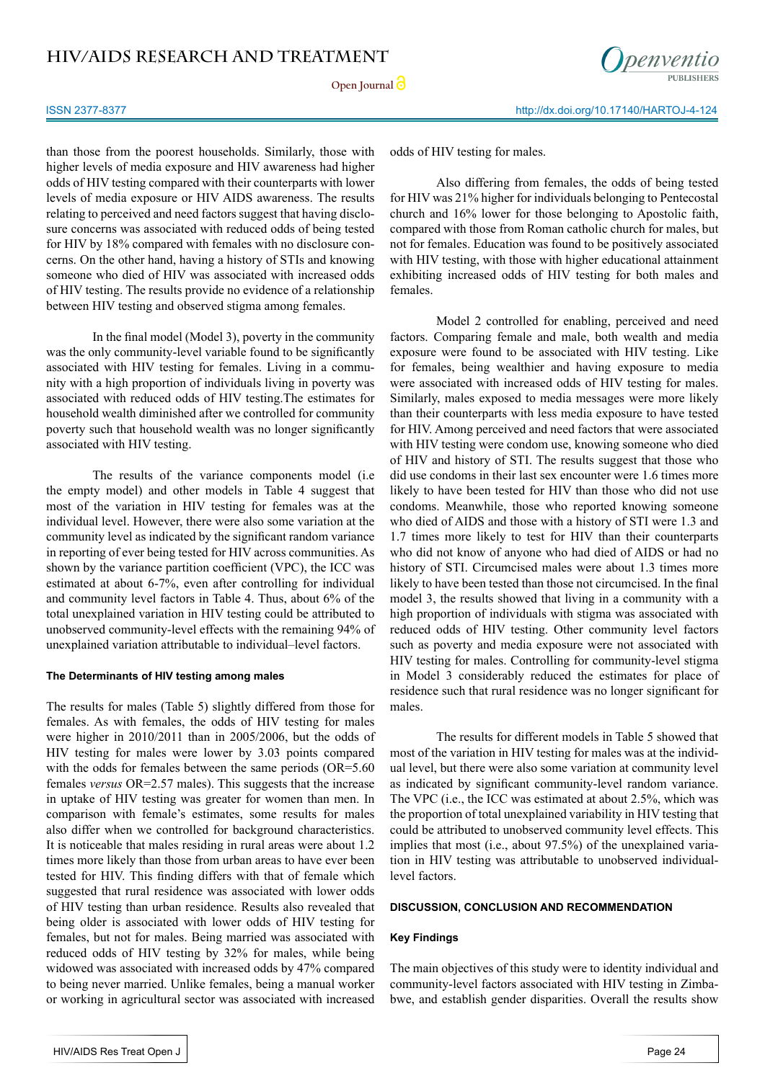

than those from the poorest households. Similarly, those with higher levels of media exposure and HIV awareness had higher odds of HIV testing compared with their counterparts with lower levels of media exposure or HIV AIDS awareness. The results relating to perceived and need factors suggest that having disclosure concerns was associated with reduced odds of being tested for HIV by 18% compared with females with no disclosure concerns. On the other hand, having a history of STIs and knowing someone who died of HIV was associated with increased odds of HIV testing. The results provide no evidence of a relationship between HIV testing and observed stigma among females.

In the final model (Model 3), poverty in the community was the only community-level variable found to be significantly associated with HIV testing for females. Living in a community with a high proportion of individuals living in poverty was associated with reduced odds of HIV testing.The estimates for household wealth diminished after we controlled for community poverty such that household wealth was no longer significantly associated with HIV testing.

The results of the variance components model (i.e the empty model) and other models in Table 4 suggest that most of the variation in HIV testing for females was at the individual level. However, there were also some variation at the community level as indicated by the significant random variance in reporting of ever being tested for HIV across communities. As shown by the variance partition coefficient (VPC), the ICC was estimated at about 6-7%, even after controlling for individual and community level factors in Table 4. Thus, about 6% of the total unexplained variation in HIV testing could be attributed to unobserved community-level effects with the remaining 94% of unexplained variation attributable to individual–level factors.

#### **The Determinants of HIV testing among males**

The results for males (Table 5) slightly differed from those for females. As with females, the odds of HIV testing for males were higher in 2010/2011 than in 2005/2006, but the odds of HIV testing for males were lower by 3.03 points compared with the odds for females between the same periods (OR=5.60) females *versus* OR=2.57 males). This suggests that the increase in uptake of HIV testing was greater for women than men. In comparison with female's estimates, some results for males also differ when we controlled for background characteristics. It is noticeable that males residing in rural areas were about 1.2 times more likely than those from urban areas to have ever been tested for HIV. This finding differs with that of female which suggested that rural residence was associated with lower odds of HIV testing than urban residence. Results also revealed that being older is associated with lower odds of HIV testing for females, but not for males. Being married was associated with reduced odds of HIV testing by 32% for males, while being widowed was associated with increased odds by 47% compared to being never married. Unlike females, being a manual worker or working in agricultural sector was associated with increased

Also differing from females, the odds of being tested for HIV was 21% higher for individuals belonging to Pentecostal church and 16% lower for those belonging to Apostolic faith, compared with those from Roman catholic church for males, but not for females. Education was found to be positively associated with HIV testing, with those with higher educational attainment exhibiting increased odds of HIV testing for both males and females.

Model 2 controlled for enabling, perceived and need factors. Comparing female and male, both wealth and media exposure were found to be associated with HIV testing. Like for females, being wealthier and having exposure to media were associated with increased odds of HIV testing for males. Similarly, males exposed to media messages were more likely than their counterparts with less media exposure to have tested for HIV. Among perceived and need factors that were associated with HIV testing were condom use, knowing someone who died of HIV and history of STI. The results suggest that those who did use condoms in their last sex encounter were 1.6 times more likely to have been tested for HIV than those who did not use condoms. Meanwhile, those who reported knowing someone who died of AIDS and those with a history of STI were 1.3 and 1.7 times more likely to test for HIV than their counterparts who did not know of anyone who had died of AIDS or had no history of STI. Circumcised males were about 1.3 times more likely to have been tested than those not circumcised. In the final model 3, the results showed that living in a community with a high proportion of individuals with stigma was associated with reduced odds of HIV testing. Other community level factors such as poverty and media exposure were not associated with HIV testing for males. Controlling for community-level stigma in Model 3 considerably reduced the estimates for place of residence such that rural residence was no longer significant for males.

The results for different models in Table 5 showed that most of the variation in HIV testing for males was at the individual level, but there were also some variation at community level as indicated by significant community-level random variance. The VPC (i.e., the ICC was estimated at about 2.5%, which was the proportion of total unexplained variability in HIV testing that could be attributed to unobserved community level effects. This implies that most (i.e., about 97.5%) of the unexplained variation in HIV testing was attributable to unobserved individuallevel factors.

#### **DISCUSSION, CONCLUSION AND RECOMMENDATION**

### **Key Findings**

The main objectives of this study were to identity individual and community-level factors associated with HIV testing in Zimbabwe, and establish gender disparities. Overall the results show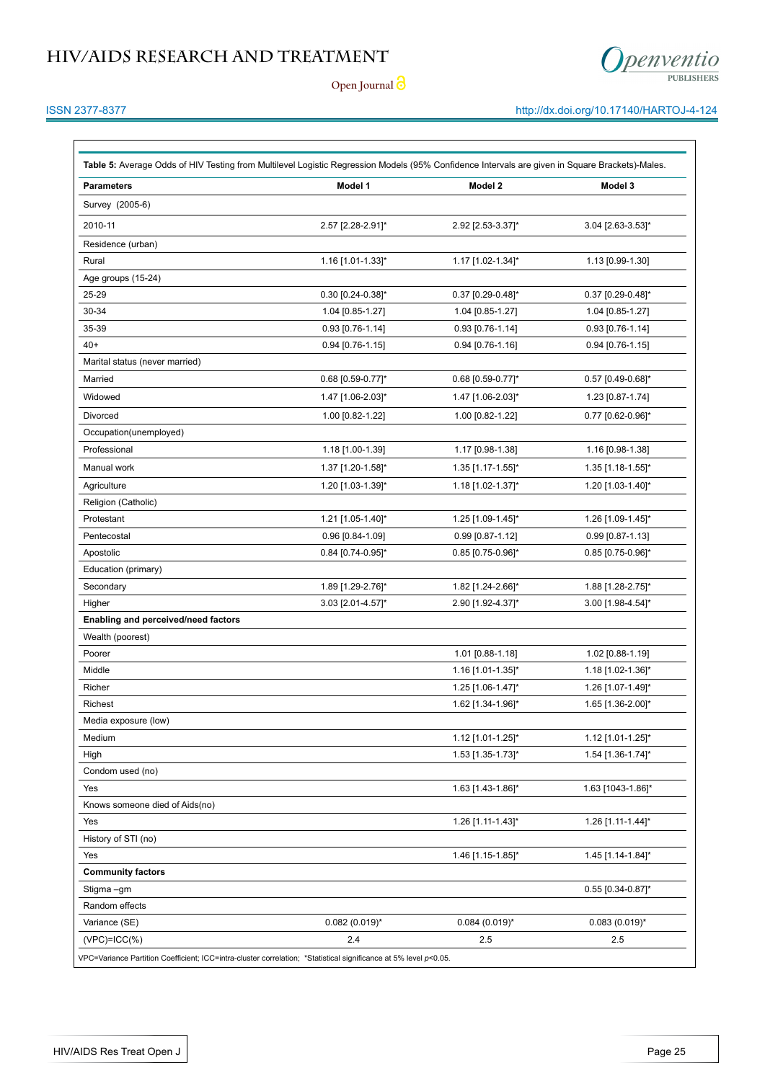

**Open Journal**

### ISSN 2377-8377 http://dx.doi.org/10.17140/HARTOJ-4-124

| <b>Parameters</b>                   | Model 1            | Model 2             | Model 3             |
|-------------------------------------|--------------------|---------------------|---------------------|
| Survey (2005-6)                     |                    |                     |                     |
| 2010-11                             | 2.57 [2.28-2.91]*  | 2.92 [2.53-3.37]*   | 3.04 [2.63-3.53]*   |
| Residence (urban)                   |                    |                     |                     |
| Rural                               | 1.16 [1.01-1.33]*  | 1.17 [1.02-1.34]*   | 1.13 [0.99-1.30]    |
| Age groups (15-24)                  |                    |                     |                     |
| 25-29                               | 0.30 [0.24-0.38]*  | 0.37 [0.29-0.48]*   | 0.37 [0.29-0.48]*   |
| 30-34                               | 1.04 [0.85-1.27]   | 1.04 [0.85-1.27]    | 1.04 [0.85-1.27]    |
| 35-39                               | 0.93 [0.76-1.14]   | $0.93$ [0.76-1.14]  | 0.93 [0.76-1.14]    |
| $40+$                               | $0.94$ [0.76-1.15] | $0.94$ [0.76-1.16]  | $0.94$ [0.76-1.15]  |
| Marital status (never married)      |                    |                     |                     |
| Married                             | 0.68 [0.59-0.77]*  | $0.68$ [0.59-0.77]* | 0.57 [0.49-0.68]*   |
| Widowed                             | 1.47 [1.06-2.03]*  | 1.47 [1.06-2.03]*   | 1.23 [0.87-1.74]    |
| Divorced                            | 1.00 [0.82-1.22]   | 1.00 [0.82-1.22]    | 0.77 [0.62-0.96]*   |
| Occupation(unemployed)              |                    |                     |                     |
| Professional                        | 1.18 [1.00-1.39]   | 1.17 [0.98-1.38]    | 1.16 [0.98-1.38]    |
| Manual work                         | 1.37 [1.20-1.58]*  | 1.35 [1.17-1.55]*   | 1.35 [1.18-1.55]*   |
| Agriculture                         | 1.20 [1.03-1.39]*  | 1.18 [1.02-1.37]*   | 1.20 [1.03-1.40]*   |
| Religion (Catholic)                 |                    |                     |                     |
| Protestant                          | 1.21 [1.05-1.40]*  | 1.25 [1.09-1.45]*   | 1.26 [1.09-1.45]*   |
| Pentecostal                         | 0.96 [0.84-1.09]   | 0.99 [0.87-1.12]    | 0.99 [0.87-1.13]    |
| Apostolic                           | 0.84 [0.74-0.95]*  | 0.85 [0.75-0.96]*   | 0.85 [0.75-0.96]*   |
| Education (primary)                 |                    |                     |                     |
| Secondary                           | 1.89 [1.29-2.76]*  | 1.82 [1.24-2.66]*   | 1.88 [1.28-2.75]*   |
| Higher                              | 3.03 [2.01-4.57]*  | 2.90 [1.92-4.37]*   | 3.00 [1.98-4.54]*   |
| Enabling and perceived/need factors |                    |                     |                     |
| Wealth (poorest)                    |                    |                     |                     |
| Poorer                              |                    | 1.01 [0.88-1.18]    | 1.02 [0.88-1.19]    |
| Middle                              |                    | 1.16 [1.01-1.35]*   | 1.18 [1.02-1.36]*   |
| Richer                              |                    | 1.25 [1.06-1.47]*   | 1.26 [1.07-1.49]*   |
| <b>Richest</b>                      |                    | 1.62 [1.34-1.96]*   | 1.65 [1.36-2.00]*   |
| Media exposure (low)                |                    |                     |                     |
| Medium                              |                    | 1.12 [1.01-1.25]*   | 1.12 [1.01-1.25]*   |
| High                                |                    | 1.53 [1.35-1.73]*   | 1.54 [1.36-1.74]*   |
| Condom used (no)                    |                    |                     |                     |
| Yes                                 |                    | 1.63 [1.43-1.86]*   | 1.63 [1043-1.86]*   |
| Knows someone died of Aids(no)      |                    |                     |                     |
| Yes                                 |                    | 1.26 [1.11-1.43]*   | 1.26 [1.11-1.44]*   |
| History of STI (no)                 |                    | 1.46 [1.15-1.85]*   | 1.45 [1.14-1.84]*   |
| Yes<br><b>Community factors</b>     |                    |                     |                     |
| Stigma –gm                          |                    |                     | $0.55$ [0.34-0.87]* |
| Random effects                      |                    |                     |                     |
| Variance (SE)                       | $0.082(0.019)^{*}$ | $0.084(0.019)^{*}$  | $0.083(0.019)^{*}$  |
| (VPC)=ICC(%)                        | 2.4                | 2.5                 | 2.5                 |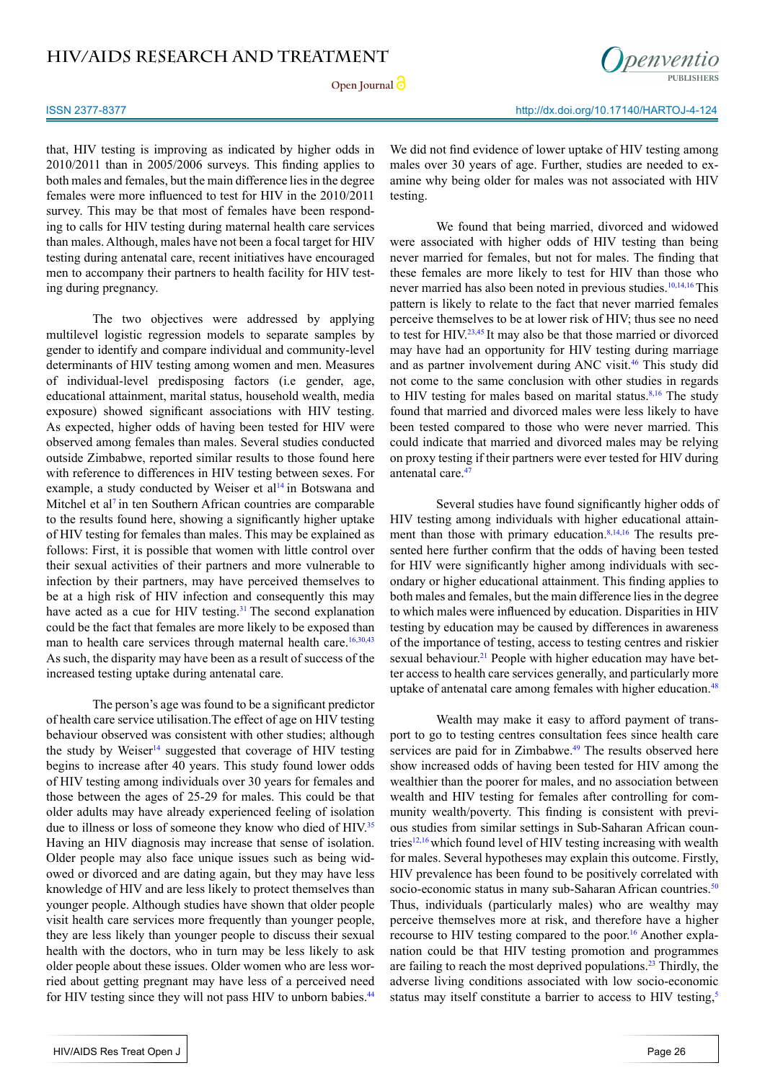#### ISSN 2377-8377 http://dx.doi.org/10.17140/HARTOJ-4-124

that, HIV testing is improving as indicated by higher odds in 2010/2011 than in 2005/2006 surveys. This finding applies to both males and females, but the main difference lies in the degree females were more influenced to test for HIV in the 2010/2011 survey. This may be that most of females have been responding to calls for HIV testing during maternal health care services than males. Although, males have not been a focal target for HIV testing during antenatal care, recent initiatives have encouraged men to accompany their partners to health facility for HIV testing during pregnancy.

The two objectives were addressed by applying multilevel logistic regression models to separate samples by gender to identify and compare individual and community-level determinants of HIV testing among women and men. Measures of individual-level predisposing factors (i.e gender, age, educational attainment, marital status, household wealth, media exposure) showed significant associations with HIV testing. As expected, higher odds of having been tested for HIV were observed among females than males. Several studies conducted outside Zimbabwe, reported similar results to those found here with reference to differences in HIV testing between sexes. For example, a study conducted by Weiser et al<sup>[14](#page-15-8)</sup> in Botswana and Mitchel et al<sup>[7](#page-14-6)</sup> in ten Southern African countries are comparable to the results found here, showing a significantly higher uptake of HIV testing for females than males. This may be explained as follows: First, it is possible that women with little control over their sexual activities of their partners and more vulnerable to infection by their partners, may have perceived themselves to be at a high risk of HIV infection and consequently this may have acted as a cue for HIV testing.<sup>[31](#page-15-15)</sup> The second explanation could be the fact that females are more likely to be exposed than man to health care services through maternal health care.<sup>16,30,43</sup> As such, the disparity may have been as a result of success of the increased testing uptake during antenatal care.

The person's age was found to be a significant predictor of health care service utilisation.The effect of age on HIV testing behaviour observed was consistent with other studies; although the study by Weiser<sup>14</sup> suggested that coverage of HIV testing begins to increase after 40 years. This study found lower odds of HIV testing among individuals over 30 years for females and those between the ages of 25-29 for males. This could be that older adults may have already experienced feeling of isolation due to illness or loss of someone they know who died of HIV.<sup>[35](#page-16-8)</sup> Having an HIV diagnosis may increase that sense of isolation. Older people may also face unique issues such as being widowed or divorced and are dating again, but they may have less knowledge of HIV and are less likely to protect themselves than younger people. Although studies have shown that older people visit health care services more frequently than younger people, they are less likely than younger people to discuss their sexual health with the doctors, who in turn may be less likely to ask older people about these issues. Older women who are less worried about getting pregnant may have less of a perceived need for HIV testing since they will not pass HIV to unborn babies.<sup>[44](#page-16-9)</sup>

We did not find evidence of lower uptake of HIV testing among males over 30 years of age. Further, studies are needed to examine why being older for males was not associated with HIV testing.

We found that being married, divorced and widowed were associated with higher odds of HIV testing than being never married for females, but not for males. The finding that these females are more likely to test for HIV than those who never married has also been noted in previous studies.<sup>[10,14,16](#page-14-9)</sup>This pattern is likely to relate to the fact that never married females perceive themselves to be at lower risk of HIV; thus see no need to test for HIV.<sup>[23,45](#page-15-5)</sup> It may also be that those married or divorced may have had an opportunity for HIV testing during marriage and as partner involvement during ANC visit.<sup>[46](#page-16-10)</sup> This study did not come to the same conclusion with other studies in regards to HIV testing for males based on marital status. $8,16$  The study found that married and divorced males were less likely to have been tested compared to those who were never married. This could indicate that married and divorced males may be relying on proxy testing if their partners were ever tested for HIV during antenatal care[.47](#page-16-11)

Several studies have found significantly higher odds of HIV testing among individuals with higher educational attainment than those with primary education.<sup>8,14,16</sup> The results presented here further confirm that the odds of having been tested for HIV were significantly higher among individuals with secondary or higher educational attainment. This finding applies to both males and females, but the main difference lies in the degree to which males were influenced by education. Disparities in HIV testing by education may be caused by differences in awareness of the importance of testing, access to testing centres and riskier sexual behaviour.<sup>[21](#page-15-18)</sup> People with higher education may have better access to health care services generally, and particularly more uptake of antenatal care among females with higher education.<sup>48</sup>

Wealth may make it easy to afford payment of transport to go to testing centres consultation fees since health care services are paid for in Zimbabwe.<sup>49</sup> The results observed here show increased odds of having been tested for HIV among the wealthier than the poorer for males, and no association between wealth and HIV testing for females after controlling for community wealth/poverty. This finding is consistent with previous studies from similar settings in Sub-Saharan African coun-tries<sup>[12,16](#page-15-0)</sup> which found level of HIV testing increasing with wealth for males. Several hypotheses may explain this outcome. Firstly, HIV prevalence has been found to be positively correlated with socio-economic status in many sub-Saharan African countries.<sup>50</sup> Thus, individuals (particularly males) who are wealthy may perceive themselves more at risk, and therefore have a higher recourse to HIV testing compared to the poor.<sup>16</sup> Another explanation could be that HIV testing promotion and programmes are failing to reach the most deprived populations.<sup>[23](#page-15-5)</sup> Thirdly, the adverse living conditions associated with low socio-economic status may itself constitute a barrier to access to HIV testing,<sup>5</sup>

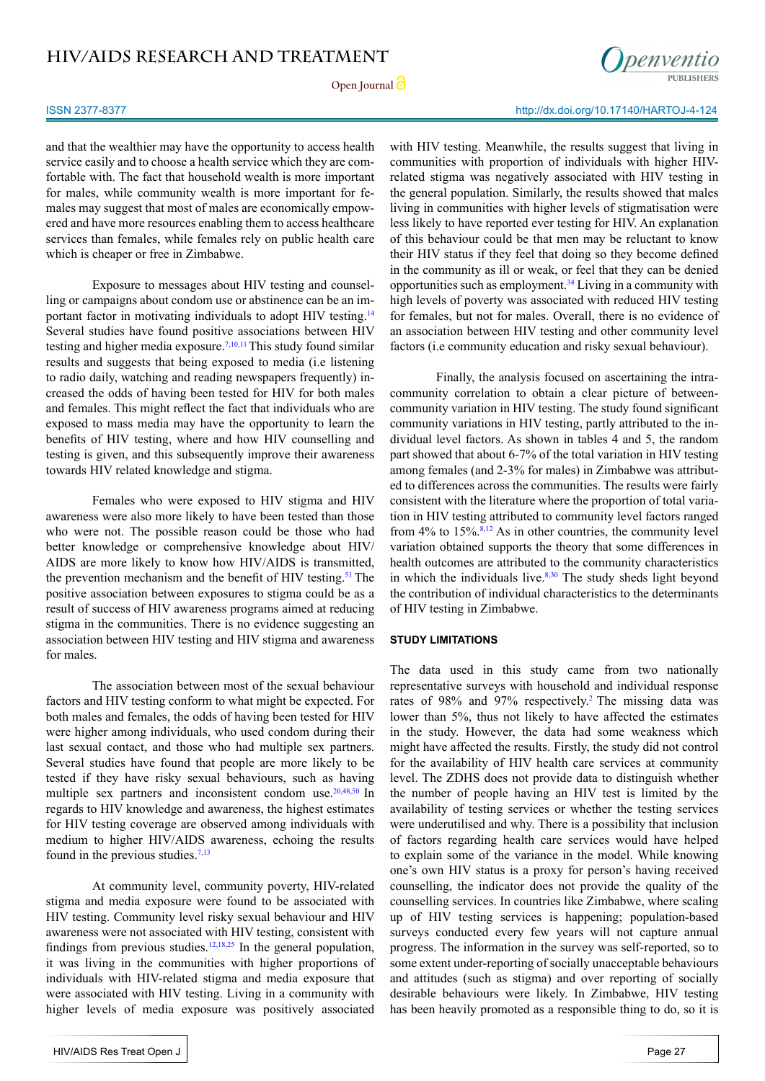

#### ISSN 2377-8377 http://dx.doi.org/10.17140/HARTOJ-4-124

and that the wealthier may have the opportunity to access health service easily and to choose a health service which they are comfortable with. The fact that household wealth is more important for males, while community wealth is more important for females may suggest that most of males are economically empowered and have more resources enabling them to access healthcare services than females, while females rely on public health care which is cheaper or free in Zimbabwe.

Exposure to messages about HIV testing and counselling or campaigns about condom use or abstinence can be an im-portant factor in motivating individuals to adopt HIV testing.<sup>[14](#page-15-8)</sup> Several studies have found positive associations between HIV testing and higher media exposure.<sup>[7,10,11](#page-14-6)</sup> This study found similar results and suggests that being exposed to media (i.e listening to radio daily, watching and reading newspapers frequently) increased the odds of having been tested for HIV for both males and females. This might reflect the fact that individuals who are exposed to mass media may have the opportunity to learn the benefits of HIV testing, where and how HIV counselling and testing is given, and this subsequently improve their awareness towards HIV related knowledge and stigma.

Females who were exposed to HIV stigma and HIV awareness were also more likely to have been tested than those who were not. The possible reason could be those who had better knowledge or comprehensive knowledge about HIV/ AIDS are more likely to know how HIV/AIDS is transmitted, the prevention mechanism and the benefit of HIV testing.<sup>[51](#page-16-15)</sup> The positive association between exposures to stigma could be as a result of success of HIV awareness programs aimed at reducing stigma in the communities. There is no evidence suggesting an association between HIV testing and HIV stigma and awareness for males.

The association between most of the sexual behaviour factors and HIV testing conform to what might be expected. For both males and females, the odds of having been tested for HIV were higher among individuals, who used condom during their last sexual contact, and those who had multiple sex partners. Several studies have found that people are more likely to be tested if they have risky sexual behaviours, such as having multiple sex partners and inconsistent condom use.<sup>[20,](#page-15-19)[48,50](#page-16-12)</sup> In regards to HIV knowledge and awareness, the highest estimates for HIV testing coverage are observed among individuals with medium to higher HIV/AIDS awareness, echoing the results found in the previous studies. $7,13$ 

At community level, community poverty, HIV-related stigma and media exposure were found to be associated with HIV testing. Community level risky sexual behaviour and HIV awareness were not associated with HIV testing, consistent with findings from previous studies.<sup>12,18,25</sup> In the general population, it was living in the communities with higher proportions of individuals with HIV-related stigma and media exposure that were associated with HIV testing. Living in a community with higher levels of media exposure was positively associated

with HIV testing. Meanwhile, the results suggest that living in communities with proportion of individuals with higher HIVrelated stigma was negatively associated with HIV testing in the general population. Similarly, the results showed that males living in communities with higher levels of stigmatisation were less likely to have reported ever testing for HIV. An explanation of this behaviour could be that men may be reluctant to know their HIV status if they feel that doing so they become defined in the community as ill or weak, or feel that they can be denied opportunities such as employment.<sup>34</sup> Living in a community with high levels of poverty was associated with reduced HIV testing for females, but not for males. Overall, there is no evidence of an association between HIV testing and other community level factors (i.e community education and risky sexual behaviour).

Finally, the analysis focused on ascertaining the intracommunity correlation to obtain a clear picture of betweencommunity variation in HIV testing. The study found significant community variations in HIV testing, partly attributed to the individual level factors. As shown in tables 4 and 5, the random part showed that about 6-7% of the total variation in HIV testing among females (and 2-3% for males) in Zimbabwe was attributed to differences across the communities. The results were fairly consistent with the literature where the proportion of total variation in HIV testing attributed to community level factors ranged from  $4\%$  to  $15\%$ .<sup>8,12</sup> As in other countries, the community level variation obtained supports the theory that some differences in health outcomes are attributed to the community characteristics in which the individuals live.<sup>8[,30](#page-15-14)</sup> The study sheds light beyond the contribution of individual characteristics to the determinants of HIV testing in Zimbabwe.

#### **STUDY LIMITATIONS**

The data used in this study came from two nationally representative surveys with household and individual response rates of 98% and 97% respectively.<sup>[2](#page-14-1)</sup> The missing data was lower than 5%, thus not likely to have affected the estimates in the study. However, the data had some weakness which might have affected the results. Firstly, the study did not control for the availability of HIV health care services at community level. The ZDHS does not provide data to distinguish whether the number of people having an HIV test is limited by the availability of testing services or whether the testing services were underutilised and why. There is a possibility that inclusion of factors regarding health care services would have helped to explain some of the variance in the model. While knowing one's own HIV status is a proxy for person's having received counselling, the indicator does not provide the quality of the counselling services. In countries like Zimbabwe, where scaling up of HIV testing services is happening; population-based surveys conducted every few years will not capture annual progress. The information in the survey was self-reported, so to some extent under-reporting of socially unacceptable behaviours and attitudes (such as stigma) and over reporting of socially desirable behaviours were likely. In Zimbabwe, HIV testing has been heavily promoted as a responsible thing to do, so it is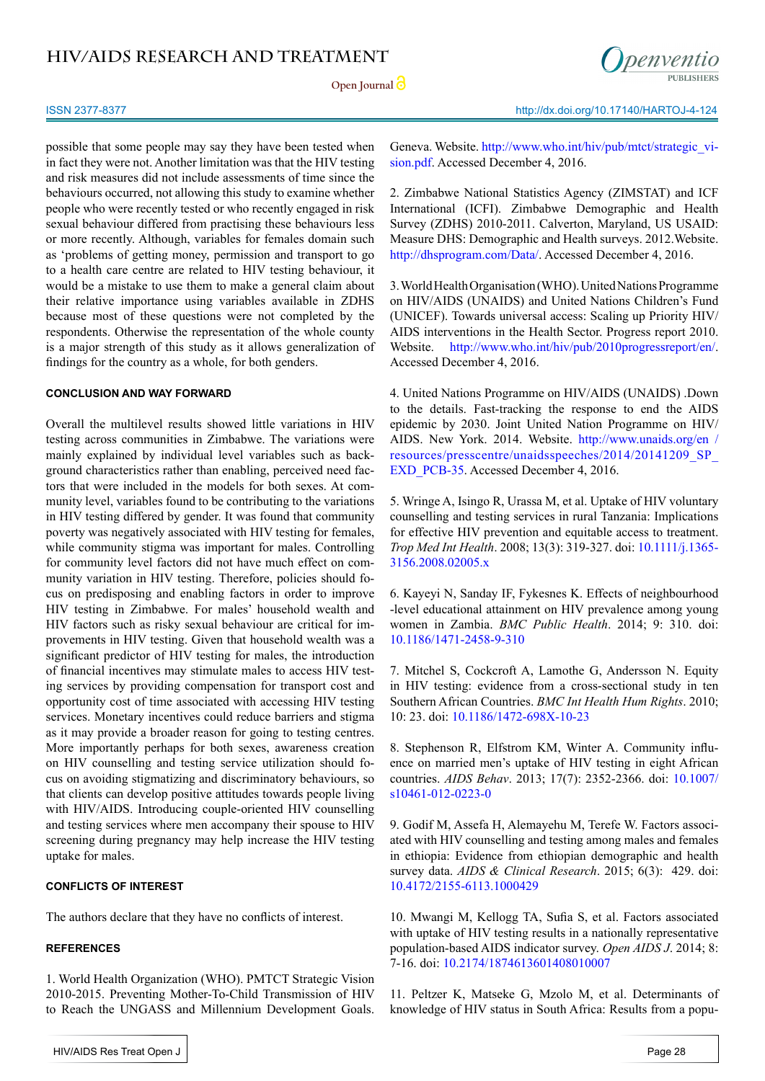Open **Journal** 



possible that some people may say they have been tested when in fact they were not. Another limitation was that the HIV testing and risk measures did not include assessments of time since the behaviours occurred, not allowing this study to examine whether people who were recently tested or who recently engaged in risk sexual behaviour differed from practising these behaviours less or more recently. Although, variables for females domain such as 'problems of getting money, permission and transport to go to a health care centre are related to HIV testing behaviour, it would be a mistake to use them to make a general claim about their relative importance using variables available in ZDHS because most of these questions were not completed by the respondents. Otherwise the representation of the whole county is a major strength of this study as it allows generalization of findings for the country as a whole, for both genders.

#### **CONCLUSION AND WAY FORWARD**

Overall the multilevel results showed little variations in HIV testing across communities in Zimbabwe. The variations were mainly explained by individual level variables such as background characteristics rather than enabling, perceived need factors that were included in the models for both sexes. At community level, variables found to be contributing to the variations in HIV testing differed by gender. It was found that community poverty was negatively associated with HIV testing for females, while community stigma was important for males. Controlling for community level factors did not have much effect on community variation in HIV testing. Therefore, policies should focus on predisposing and enabling factors in order to improve HIV testing in Zimbabwe. For males' household wealth and HIV factors such as risky sexual behaviour are critical for improvements in HIV testing. Given that household wealth was a significant predictor of HIV testing for males, the introduction of financial incentives may stimulate males to access HIV testing services by providing compensation for transport cost and opportunity cost of time associated with accessing HIV testing services. Monetary incentives could reduce barriers and stigma as it may provide a broader reason for going to testing centres. More importantly perhaps for both sexes, awareness creation on HIV counselling and testing service utilization should focus on avoiding stigmatizing and discriminatory behaviours, so that clients can develop positive attitudes towards people living with HIV/AIDS. Introducing couple-oriented HIV counselling and testing services where men accompany their spouse to HIV screening during pregnancy may help increase the HIV testing uptake for males.

#### **CONFLICTS OF INTEREST**

The authors declare that they have no conflicts of interest.

#### **REFERENCES**

<span id="page-14-0"></span>1. World Health Organization (WHO). PMTCT Strategic Vision 2010-2015. Preventing Mother-To-Child Transmission of HIV to Reach the UNGASS and Millennium Development Goals.

<span id="page-14-1"></span>2. Zimbabwe National Statistics Agency (ZIMSTAT) and ICF International (ICFI). Zimbabwe Demographic and Health Survey (ZDHS) 2010-2011. Calverton, Maryland, US USAID: Measure DHS: Demographic and Health surveys. 2012.Website. [http://dhsprogram.com/Data/](http://dhsprogram.com/Data/.). Accessed December 4, 2016.

<span id="page-14-2"></span>3. World Health Organisation (WHO). United Nations Programme on HIV/AIDS (UNAIDS) and United Nations Children's Fund (UNICEF). Towards universal access: Scaling up Priority HIV/ AIDS interventions in the Health Sector. Progress report 2010. Website. <http://www.who.int/hiv/pub/2010progressreport/en/>. Accessed December 4, 2016.

<span id="page-14-3"></span>4. United Nations Programme on HIV/AIDS (UNAIDS) .Down to the details. Fast-tracking the response to end the AIDS epidemic by 2030. Joint United Nation Programme on HIV/ AIDS. New York. 2014. Website. [http://www.unaids.org/en /](http://www.unaids.org/en%20/resources/presscentre/unaidsspeeches/2014/20141209_SP_EXD_PCB-35) [resources/presscentre/unaidsspeeches/2014/20141209\\_SP\\_](http://www.unaids.org/en%20/resources/presscentre/unaidsspeeches/2014/20141209_SP_EXD_PCB-35) [EXD\\_PCB-35](http://www.unaids.org/en%20/resources/presscentre/unaidsspeeches/2014/20141209_SP_EXD_PCB-35). Accessed December 4, 2016.

<span id="page-14-4"></span>5. Wringe A, Isingo R, Urassa M, et al. Uptake of HIV voluntary counselling and testing services in rural Tanzania: Implications for effective HIV prevention and equitable access to treatment. *Trop Med Int Health*. 2008; 13(3): 319-327. doi: [10.1111/j.1365-](https://www.ncbi.nlm.nih.gov/pubmed/18397395) [3156.2008.02005.x](https://www.ncbi.nlm.nih.gov/pubmed/18397395)

<span id="page-14-5"></span>6. Kayeyi N, Sanday IF, Fykesnes K. Effects of neighbourhood -level educational attainment on HIV prevalence among young women in Zambia. *BMC Public Health*. 2014; 9: 310. doi: [10.1186/1471-2458-9-310](https://bmcpublichealth.biomedcentral.com/articles/10.1186/1471-2458-9-310)

<span id="page-14-6"></span>7. Mitchel S, Cockcroft A, Lamothe G, Andersson N. Equity in HIV testing: evidence from a cross-sectional study in ten Southern African Countries. *BMC Int Health Hum Rights*. 2010; 10: 23. doi: [10.1186/1472-698X-10-23](http://bmcinthealthhumrights.biomedcentral.com/articles/10.1186/1472-698X-10-23)

<span id="page-14-10"></span>8. Stephenson R, Elfstrom KM, Winter A. Community influence on married men's uptake of HIV testing in eight African countries. *AIDS Behav*. 2013; 17(7): 2352-2366. doi: [10.1007/](http://link.springer.com/article/10.1007/s10461-012-0223-0) [s10461-012-0223-0](http://link.springer.com/article/10.1007/s10461-012-0223-0)

<span id="page-14-7"></span>9. Godif M, Assefa H, Alemayehu M, Terefe W. Factors associated with HIV counselling and testing among males and females in ethiopia: Evidence from ethiopian demographic and health survey data. *AIDS & Clinical Research*. 2015; 6(3): 429. doi: [10.4172/2155-6113.1000429](https://www.omicsonline.org/open-access/factors-associated-with-hiv-counseling-and-testing-among-males-and-females-in-ethiopia-evidence-from-ethiopian-demographic-and-health-survey-data-2155-6113.1000429.php%3Faid%3D40871)

<span id="page-14-9"></span>10. Mwangi M, Kellogg TA, Sufia S, et al. Factors associated with uptake of HIV testing results in a nationally representative population-based AIDS indicator survey. *Open AIDS J*. 2014; 8: 7-16. doi: [10.2174/1874613601408010007](https://www.ncbi.nlm.nih.gov/pubmed/24707325)

<span id="page-14-8"></span>11. Peltzer K, Matseke G, Mzolo M, et al. Determinants of knowledge of HIV status in South Africa: Results from a popu-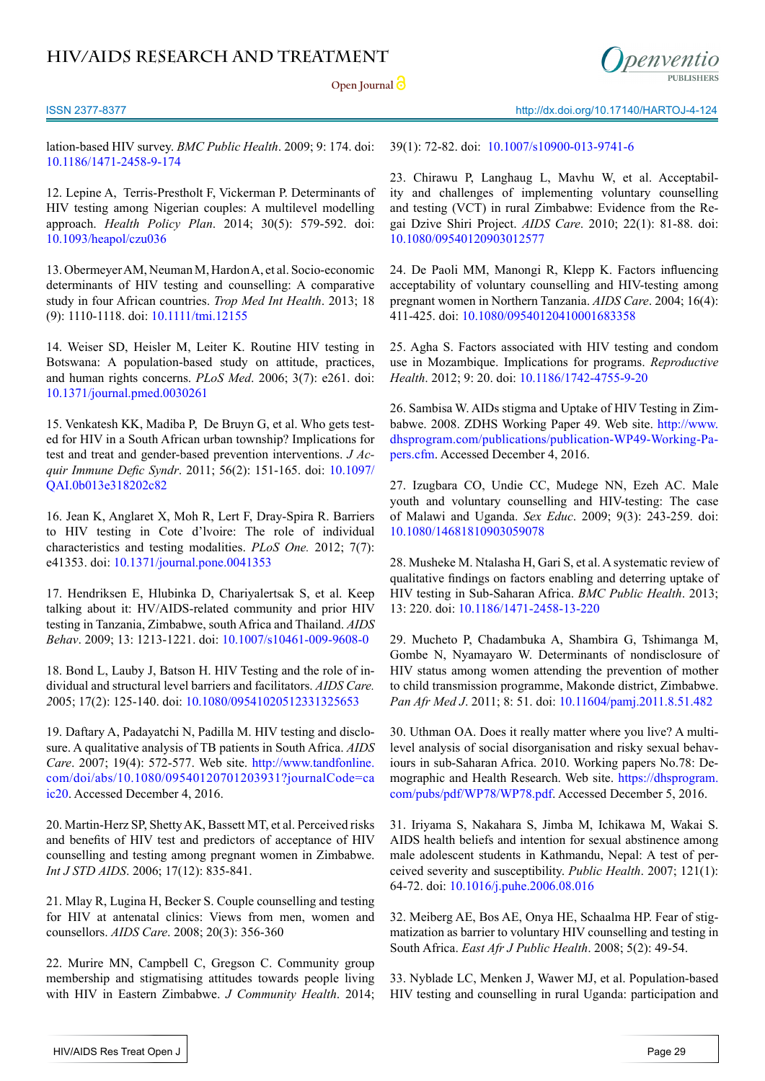**Open Journal**

ISSN 2377-8377 http://dx.doi.org/10.17140/HARTOJ-4-124

lation-based HIV survey. *BMC Public Health*. 2009; 9: 174. doi: [10.1186/1471-2458-9-174](http://bmcpublichealth.biomedcentral.com/articles/10.1186/1471-2458-9-174)

<span id="page-15-0"></span>12. Lepine A, Terris-Prestholt F, Vickerman P. Determinants of HIV testing among Nigerian couples: A multilevel modelling approach. *Health Policy Plan*. 2014; 30(5): 579-592. doi: [10.1093/heapol/czu036](https://academic.oup.com/heapol/article/30/5/579/659624/Determinants-of-HIV-testing-among-Nigerian-couples)

13. Obermeyer AM, Neuman M, Hardon A, et al. Socio-economic determinants of HIV testing and counselling: A comparative study in four African countries. *Trop Med Int Health*. 2013; 18 (9): 1110-1118. doi: [10.1111/tmi.12155](http://onlinelibrary.wiley.com/doi/10.1111/tmi.12155/full)

<span id="page-15-8"></span>14. Weiser SD, Heisler M, Leiter K. Routine HIV testing in Botswana: A population-based study on attitude, practices, and human rights concerns. *PLoS Med*. 2006; 3(7): e261. doi: [10.1371/journal.pmed.0030261](https://www.ncbi.nlm.nih.gov/pmc/articles/PMC1502152/)

<span id="page-15-1"></span>15. Venkatesh KK, Madiba P, De Bruyn G, et al. Who gets tested for HIV in a South African urban township? Implications for test and treat and gender-based prevention interventions. *J Acquir Immune Defic Syndr*. 2011; 56(2): 151-165. doi: [10.1097/](https://www.ncbi.nlm.nih.gov/pubmed/21084993) [QAI.0b013e318202c82](https://www.ncbi.nlm.nih.gov/pubmed/21084993)

<span id="page-15-2"></span>16. Jean K, Anglaret X, Moh R, Lert F, Dray-Spira R. Barriers to HIV testing in Cote d'lvoire: The role of individual characteristics and testing modalities. *PLoS One.* 2012; 7(7): e41353. doi: [10.1371/journal.pone.0041353](https://www.ncbi.nlm.nih.gov/pubmed/22815995)

17. Hendriksen E, Hlubinka D, Chariyalertsak S, et al. Keep talking about it: HV/AIDS-related community and prior HIV testing in Tanzania, Zimbabwe, south Africa and Thailand. *AIDS Behav*. 2009; 13: 1213-1221. doi: [10.1007/s10461-009-9608-0](https://www.ncbi.nlm.nih.gov/pmc/articles/PMC2866302/)

<span id="page-15-3"></span>18. Bond L, Lauby J, Batson H. HIV Testing and the role of individual and structural level barriers and facilitators. *AIDS Care. 2*005; 17(2): 125-140. doi: [10.1080/09541020512331325653](http://www.tandfonline.com/doi/abs/10.1080/09541020512331325653%3FjournalCode%3Dcaic20)

<span id="page-15-12"></span>19. Daftary A, Padayatchi N, Padilla M. HIV testing and disclosure. A qualitative analysis of TB patients in South Africa. *AIDS Care*. 2007; 19(4): 572-577. Web site. [http://www.tandfonline.](http://www.tandfonline.com/doi/abs/10.1080/09540120701203931%3FjournalCode%3Dcaic20) [com/doi/abs/10.1080/09540120701203931?journalCode=ca](http://www.tandfonline.com/doi/abs/10.1080/09540120701203931%3FjournalCode%3Dcaic20) [ic20](http://www.tandfonline.com/doi/abs/10.1080/09540120701203931%3FjournalCode%3Dcaic20). Accessed December 4, 2016.

<span id="page-15-19"></span>20. Martin-Herz SP, Shetty AK, Bassett MT, et al. Perceived risks and benefits of HIV test and predictors of acceptance of HIV counselling and testing among pregnant women in Zimbabwe. *Int J STD AIDS*. 2006; 17(12): 835-841.

<span id="page-15-18"></span>21. Mlay R, Lugina H, Becker S. Couple counselling and testing for HIV at antenatal clinics: Views from men, women and counsellors. *AIDS Care*. 2008; 20(3): 356-360

<span id="page-15-4"></span>22. Murire MN, Campbell C, Gregson C. Community group membership and stigmatising attitudes towards people living with HIV in Eastern Zimbabwe. *J Community Health*[.](https://www.ncbi.nlm.nih.gov/pubmed/23913105) 2014;

39(1): 72-82. doi: [10.1007/s10900-013-9741-6](https://www.ncbi.nlm.nih.gov/pmc/articles/PMC3890052/)

<span id="page-15-5"></span>23. Chirawu P, Langhaug L, Mavhu W, et al. Acceptability and challenges of implementing voluntary counselling and testing (VCT) in rural Zimbabwe: Evidence from the Regai Dzive Shiri Project. *AIDS Care*. 2010; 22(1): 81-88. doi: [10.1080/09540120903012577](https://www.ncbi.nlm.nih.gov/pubmed/20390484)

<span id="page-15-6"></span>24. De Paoli MM, Manongi R, Klepp K. Factors influencing acceptability of voluntary counselling and HIV-testing among pregnant women in Northern Tanzania. *AIDS Care*. 2004; 16(4): 411-425. doi: [10.1080/09540120410001683358](http://www.tandfonline.com/doi/abs/10.1080/09540120410001683358%3FjournalCode%3Dcaic20)

<span id="page-15-7"></span>25. Agha S. Factors associated with HIV testing and condom use in Mozambique. Implications for programs. *Reproductive Health*. 2012; 9: 20. doi: [10.1186/1742-4755-9-20](https://reproductive-health-journal.biomedcentral.com/articles/10.1186/1742-4755-9-20)

<span id="page-15-9"></span>26. Sambisa W. AIDs stigma and Uptake of HIV Testing in Zimbabwe. 2008. ZDHS Working Paper 49. Web site. http://www. dhsprogram.com/publications/publication-WP49-Working-Papers.cfm. Accessed December 4, 2016.

<span id="page-15-10"></span>27. Izugbara CO, Undie CC, Mudege NN, Ezeh AC. Male youth and voluntary counselling and HIV-testing: The case of Malawi and Uganda. *Sex Educ*. 2009; 9(3): 243-259. doi: [10.1080/14681810903059078](http://www.tandfonline.com/doi/abs/10.1080/14681810903059078)

<span id="page-15-11"></span>28. Musheke M. Ntalasha H, Gari S, et al. A systematic review of qualitative findings on factors enabling and deterring uptake of HIV testing in Sub-Saharan Africa. *BMC Public Health*. 2013; 13: 220. doi: [10.1186/1471-2458-13-220](https://www.ncbi.nlm.nih.gov/pmc/articles/PMC3610106/)

<span id="page-15-13"></span>29. Mucheto P, Chadambuka A, Shambira G, Tshimanga M, Gombe N, Nyamayaro W. Determinants of nondisclosure of HIV status among women attending the prevention of mother to child transmission programme, Makonde district, Zimbabwe. *Pan Afr Med J*. 2011; 8: 51. doi: [10.11604/pamj.2011.8.51.482](https://www.ncbi.nlm.nih.gov/pmc/articles/PMC3201613/)

<span id="page-15-14"></span>30. Uthman OA. Does it really matter where you live? A multilevel analysis of social disorganisation and risky sexual behaviours in sub-Saharan Africa. 2010. Working papers No.78: Demographic and Health Research. Web site. [https://dhsprogram.](https://dhsprogram.com/pubs/pdf/WP78/WP78.pdf) [com/pubs/pdf/WP78/WP78.pdf](https://dhsprogram.com/pubs/pdf/WP78/WP78.pdf). Accessed December 5, 2016.

<span id="page-15-15"></span>31. Iriyama S, Nakahara S, Jimba M, Ichikawa M, Wakai S. AIDS health beliefs and intention for sexual abstinence among male adolescent students in Kathmandu, Nepal: A test of perceived severity and susceptibility. *Public Health*. 2007; 121(1): 64-72. doi: [10.1016/j.puhe.2006.08.016](http://www.publichealthjrnl.com/article/S0033-3506%2806%2900278-2/abstract)

<span id="page-15-16"></span>32. Meiberg AE, Bos AE, Onya HE, Schaalma HP. Fear of stigmatization as barrier to voluntary HIV counselling and testing in South Africa. *East Afr J Public Health*. 2008; 5(2): 49-54.

<span id="page-15-17"></span>33. Nyblade LC, Menken J, Wawer MJ, et al. Population-based HIV testing and counselling in rural Uganda: participation and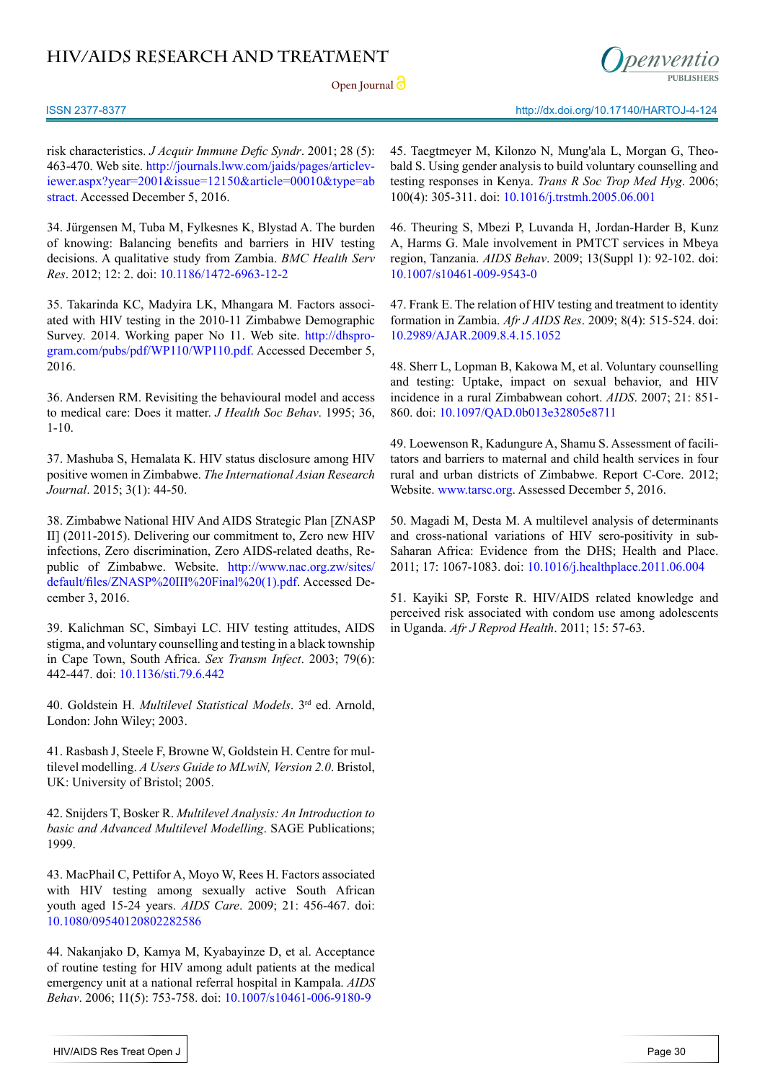**Open Journal**



risk characteristics. *J Acquir Immune Defic Syndr*. 2001; 28 (5): 463-470. Web site. [http://journals.lww.com/jaids/pages/articlev](http://journals.lww.com/jaids/pages/articleviewer.aspx%3Fyear%3D2001%26issue%3D12150%26article%3D00010%26type%3Dabstract)[iewer.aspx?year=2001&issue=12150&article=00010&type=ab](http://journals.lww.com/jaids/pages/articleviewer.aspx%3Fyear%3D2001%26issue%3D12150%26article%3D00010%26type%3Dabstract) [stract](http://journals.lww.com/jaids/pages/articleviewer.aspx%3Fyear%3D2001%26issue%3D12150%26article%3D00010%26type%3Dabstract). Accessed December 5, 2016.

<span id="page-16-0"></span>34. Jürgensen M, Tuba M, Fylkesnes K, Blystad A. The burden of knowing: Balancing benefits and barriers in HIV testing decisions. A qualitative study from Zambia. *BMC Health Serv Res*. 2012; 12: 2. doi: [10.1186/1472-6963-12-2](https://www.ncbi.nlm.nih.gov/pmc/articles/PMC3268706/)

<span id="page-16-8"></span>35. Takarinda KC, Madyira LK, Mhangara M. Factors associated with HIV testing in the 2010-11 Zimbabwe Demographic Survey. 2014. Working paper No 11. Web site. [http://dhspro](http://dhsprogram.com/pubs/pdf/WP110/WP110.pdf)[gram.com/pubs/pdf/WP110/WP110.pdf](http://dhsprogram.com/pubs/pdf/WP110/WP110.pdf). Accessed December 5, 2016.

<span id="page-16-1"></span>36. Andersen RM. Revisiting the behavioural model and access to medical care: Does it matter. *J Health Soc Behav*. 1995; 36, 1-10.

<span id="page-16-2"></span>37. Mashuba S, Hemalata K. HIV status disclosure among HIV positive women in Zimbabwe. *The International Asian Research Journal*. 2015; 3(1): 44-50.

<span id="page-16-3"></span>38. Zimbabwe National HIV And AIDS Strategic Plan [ZNASP II] (2011-2015). Delivering our commitment to, Zero new HIV infections, Zero discrimination, Zero AIDS-related deaths, Republic of Zimbabwe. Website. [http://www.nac.org.zw/sites/](http://www.nac.org.zw/sites/default/files/ZNASP%2520III%2520Final%2520%281%29.pdf) [default/files/ZNASP%20III%20Final%20\(1\).pdf](http://www.nac.org.zw/sites/default/files/ZNASP%2520III%2520Final%2520%281%29.pdf). Accessed December 3, 2016.

<span id="page-16-4"></span>39. Kalichman SC, Simbayi LC. HIV testing attitudes, AIDS stigma, and voluntary counselling and testing in a black township in Cape Town, South Africa. *Sex Transm Infect*. 2003; 79(6): 442-447. doi: [10.1136/sti.79.6.442](https://www.ncbi.nlm.nih.gov/pmc/articles/PMC1744787/)

<span id="page-16-5"></span>40. Goldstein H. *Multilevel Statistical Models*. 3rd ed. Arnold, London: John Wiley; 2003.

<span id="page-16-6"></span>41. Rasbash J, Steele F, Browne W, Goldstein H. Centre for multilevel modelling. *A Users Guide to MLwiN, Version 2.0*. Bristol, UK: University of Bristol; 2005.

<span id="page-16-7"></span>42. Snijders T, Bosker R. *Multilevel Analysis: An Introduction to basic and Advanced Multilevel Modelling*. SAGE Publications; 1999.

43. MacPhail C, Pettifor A, Moyo W, Rees H. Factors associated with HIV testing among sexually active South African youth aged 15-24 years. *AIDS Care*. 2009; 21: 456-467. doi: <10.1080/09540120802282586>

<span id="page-16-9"></span>44. Nakanjako D, Kamya M, Kyabayinze D, et al. Acceptance of routine testing for HIV among adult patients at the medical emergency unit at a national referral hospital in Kampala. *AIDS Behav*. 2006; 11(5): 753-758. doi: [10.1007/s10461-006-9180-9](http://link.springer.com/article/10.1007%252Fs10461-006-9180-9)

45. Taegtmeyer M, Kilonzo N, Mung'ala L, Morgan G, Theobald S. Using gender analysis to build voluntary counselling and testing responses in Kenya. *Trans R Soc Trop Med Hyg*. 2006; 100(4): 305-311. doi: [10.1016/j.trstmh.2005.06.001](https://academic.oup.com/trstmh/article/100/4/305/1918065/Using-gender-analysis-to-build-voluntary)

<span id="page-16-10"></span>46. Theuring S, Mbezi P, Luvanda H, Jordan-Harder B, Kunz A, Harms G. Male involvement in PMTCT services in Mbeya region, Tanzania. *AIDS Behav*. 2009; 13(Suppl 1): 92-102. doi: [10.1007/s10461-009-9543-0](http://link.springer.com/article/10.1007%252Fs10461-009-9543-0)

<span id="page-16-11"></span>47. Frank E. The relation of HIV testing and treatment to identity formation in Zambia. *Afr J AIDS Res*. 2009; 8(4): 515-524. doi: [10.2989/AJAR.2009.8.4.15.1052](http://www.tandfonline.com/doi/abs/10.2989/AJAR.2009.8.4.15.1052)

<span id="page-16-12"></span>48. Sherr L, Lopman B, Kakowa M, et al. Voluntary counselling and testing: Uptake, impact on sexual behavior, and HIV incidence in a rural Zimbabwean cohort. *AIDS*. 2007; 21: 851- 860. doi: [10.1097/QAD.0b013e32805e8711](http://journals.lww.com/aidsonline/pages/articleviewer.aspx%3Fyear%3D2007%26issue%3D04230%26article%3D00008%26type%3Dabstract)

<span id="page-16-13"></span>49. Loewenson R, Kadungure A, Shamu S. Assessment of facilitators and barriers to maternal and child health services in four rural and urban districts of Zimbabwe. Report C-Core. 2012; Website. [www.tarsc.org.](http://www.tarsc.org) Assessed December 5, 2016.

<span id="page-16-14"></span>50. Magadi M, Desta M. A multilevel analysis of determinants and cross-national variations of HIV sero-positivity in sub-Saharan Africa: Evidence from the DHS; Health and Place. 2011; 17: 1067-1083. doi: [10.1016/j.healthplace.2011.06.004](https://www.ncbi.nlm.nih.gov/pmc/articles/PMC3248638/)

<span id="page-16-15"></span>51. Kayiki SP, Forste R. HIV/AIDS related knowledge and perceived risk associated with condom use among adolescents in Uganda. *Afr J Reprod Health*. 2011; 15: 57-63.